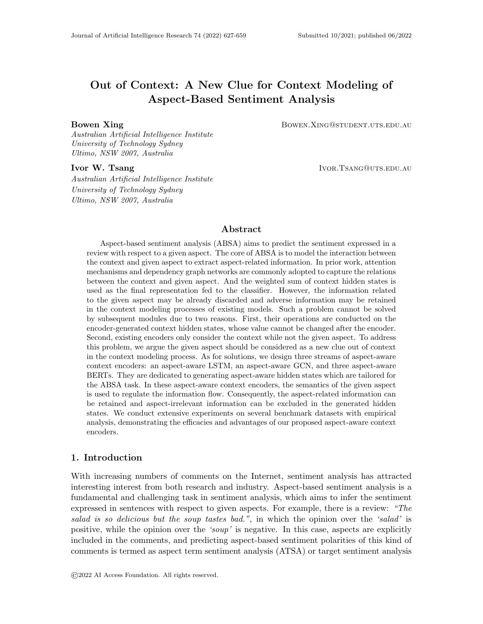# Out of Context: A New Clue for Context Modeling of Aspect-Based Sentiment Analysis

Bowen Xing **Bowen Xing Community Bowen.** BOWEN.XING@STUDENT.UTS.EDU.AU

Australian Artificial Intelligence Institute University of Technology Sydney Ultimo, NSW 2007, Australia

Australian Artificial Intelligence Institute University of Technology Sydney Ultimo, NSW 2007, Australia

**Ivor W. Tsang Ivor. The Ivor. The Ivor W. Tsang Ivor.** The Ivor. The Ivor. The Ivor. The Ivor. The Ivor. The Ivor

# Abstract

Aspect-based sentiment analysis (ABSA) aims to predict the sentiment expressed in a review with respect to a given aspect. The core of ABSA is to model the interaction between the context and given aspect to extract aspect-related information. In prior work, attention mechanisms and dependency graph networks are commonly adopted to capture the relations between the context and given aspect. And the weighted sum of context hidden states is used as the final representation fed to the classifier. However, the information related to the given aspect may be already discarded and adverse information may be retained in the context modeling processes of existing models. Such a problem cannot be solved by subsequent modules due to two reasons. First, their operations are conducted on the encoder-generated context hidden states, whose value cannot be changed after the encoder. Second, existing encoders only consider the context while not the given aspect. To address this problem, we argue the given aspect should be considered as a new clue out of context in the context modeling process. As for solutions, we design three streams of aspect-aware context encoders: an aspect-aware LSTM, an aspect-aware GCN, and three aspect-aware BERTs. They are dedicated to generating aspect-aware hidden states which are tailored for the ABSA task. In these aspect-aware context encoders, the semantics of the given aspect is used to regulate the information flow. Consequently, the aspect-related information can be retained and aspect-irrelevant information can be excluded in the generated hidden states. We conduct extensive experiments on several benchmark datasets with empirical analysis, demonstrating the efficacies and advantages of our proposed aspect-aware context encoders.

# 1. Introduction

With increasing numbers of comments on the Internet, sentiment analysis has attracted interesting interest from both research and industry. Aspect-based sentiment analysis is a fundamental and challenging task in sentiment analysis, which aims to infer the sentiment expressed in sentences with respect to given aspects. For example, there is a review: "The salad is so delicious but the soup tastes bad.", in which the opinion over the 'salad' is positive, while the opinion over the 'soup' is negative. In this case, aspects are explicitly included in the comments, and predicting aspect-based sentiment polarities of this kind of comments is termed as aspect term sentiment analysis (ATSA) or target sentiment analysis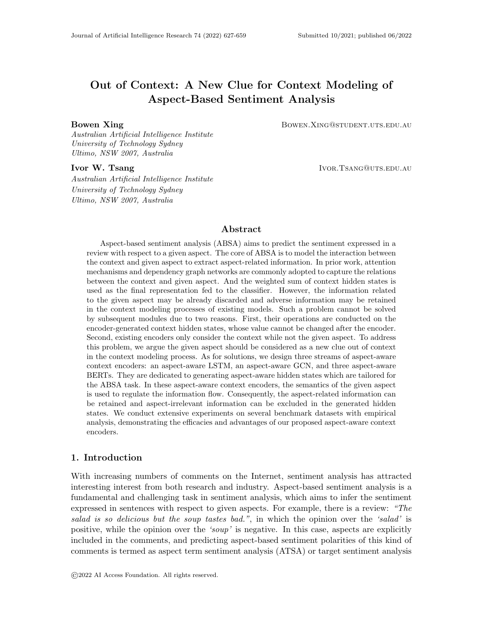#### Xing & Tsang

(TSA). There is another case where the aspect is mentioned but maybe not explicitly included in the comment. For example, "Although the dinner is expensive, waiters are so warm-hearted!". We can observe that there are two aspects mentioned in this comment: price and service with completely opposite sentiment polarities. Predicting aspect-based sentiment polarities of this kind of comments is termed as aspect category sentiment analysis (ACSA), and the aspect categories belong to a predefined set. In this paper, we collectively refer to aspect term and aspect category as aspect. And our goal is aspect-based sentiment analysis (ABSA) including ATSA and ACSA, which are both classification tasks.

Long Short-Term Memory networks (LSTM) (Hochreiter & Schmidhuber, 1997) is the most widely-used context encoder in ABSA task. Previous models using LSTM as context encoders can be roughly divided into four categories: (1) The first category models conduct joint modeling of concatenated contexts and aspects. Attention-based LSTM with aspect embedding (ATAE-LSTM) (Wang, Huang, & Zhao, 2016) and modeling inter-aspect dependencies by LSTM (IAD-LSTM) (Devamanyu, Soujanya, Prateek, Gangeshwar, Erik, & Roger, 2018) model the context and aspect simultaneously via concatenating the aspect vector to each context word embedding in the embedding layer before LSTM. (2) In the secondary category, the models only use context words as input when modeling the context. Interactive attention networks (IAN) (Ma, Li, Zhang, & Wang, 2017) and aspect fusion LSTM (AF-LSTM)" (Tay, Tuan, & Hui, 2018) model the context alone while utilizing the aspect to study the interaction between context and aspect in the attention mechanism. (3) The methods in the third category additionally multiply a relative position weight to highlight the potential aspect-related context words. Recurrent attention network on memory (RAM) (Chen, Sun, Bing, & Yang, 2017) assigns relative position weights to context hidden states before the attention mechanism. (4) The fourth category models are more special. After LSTM layer, they employ graph convolutional networks (GCN) or graph attention networks (GAT) to leverage the syntactic information by encoding the context's syntax graph. ASGCN (Zhang, Li, & Song, 2019) utilizes GCN to enhance the hidden states with the syntactical connections. Although recent LSTM-based models may adopt different subsequent modules from the above models, their context modeling process falls into the above four categories.

Bidirectional Encoder Representations from Transformer (BERT) is of a multi-layer bidirectional Transformers (Vaswani, Shazeer, Parmar, Uszkoreit, Jones, Gomez, Kaiser, & Polosukhin, 2017) architecture. BERT is a representative pre-trained language model. Recently, it has achieved state-of-the-art results on heterogeneous NLP tasks (Reimers & Gurevych, 2019; Chen, Gan, Cheng, Liu, & Liu, 2020; Li, Ma, Guo, Xue, & Qiu, 2020), including ABSA task (Tang, Ji, Li, & Zhou, 2020; Wang, Shen, Yang, Quan, & Wang, 2020). BERT has two encoding manners: single sentence (SS) and sentence pair (SP), whose formal inputs are as follows:

SS: [CLS]  $s^1$ , ...,  $s^n$  [SEP]

SP: [CLS]  $s_1^1, \ldots, s_1^{n_1}$  [SEP]  $s_2^1, \ldots, s_2^{n_2}$  [SEP]

where  $s_1$  and  $s_2$  denote the two sentences in SP modeling. For convenience, in this paper, we refer the BERT of SS manner as BERT0 and the BERT of SP manner as BERT1.

LSTM, GCN, and BERT can be seen as the sequence-based context encoder, graphbased context encoder, and pre-trained context encoder, respectively. All of them can generate or modify the inner values of the hidden states, which cannot be achieved by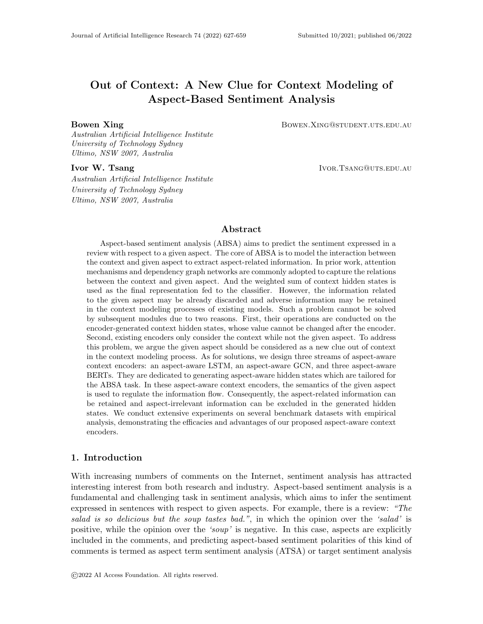subsequent modules such as aspect-specific attention mechanisms (Ma et al., 2017; Zhang et al., 2019). These context encoders are widely adopted in existing ABSA models and their generated hidden states are taken as input of subsequent modules. However, there is a question which has never been considered: Are these hidden states good enough?

We argue that the aspect-related information may be discarded and the aspect-irrelevant information may be retained in the hidden states generated by LSTM, GCN and BERT. The reason is that there is no aspect information introduced into the context modeling process of these context encoders, which cannot process the latent semantic space according to the aspect of current sample. In this paper, we term this problem as the aspect-agnostic problem in the context modeling process. And in Section 2 we depict this problem in details.

To solve the aspect-agnostic problem, we argue that the semantics of the given aspect should be explicitly introduced into context modeling process as a new clue out of the context. With the consideration of the given aspect, the aspect-aware context encoder can specifically retain useful information and eliminate aspect-irrelevant information in the generated aspect-aware hidden states which can improve ABSA. Specifically, we propose three streams of aspect-aware context encoders which are based on LSTM, GCN and BERT, respectively. Based on LSTM, we design an aspect-aware (AA) LSTM which augments vanilla LSTM with a novel aspect-aware (AA) mechanism. The AA mechanism includes three aspect gates, which are corresponding to the input gate, forget gate, and output gate of LSTM cell respectively. The aspect gates take the aspect vector and previous hidden state as input, producing a gate vector. The gate vector controls the fraction of disturbance from the given aspect added to the internal value of the three LSTM gates. In this way, when modeling the context, AALSTM can dynamically identify the aspect-related information as well as the aspect-irrelevant information. With the consideration of the given aspect, AALSTM can retain the useful information in generated hidden states and prevent the harmful information from fusing into generated hidden states. We propose the aspect-aware GCN by augmenting vanilla GCN with an aspect-aware convolution gate, which controls what and how much information from the neighbor nodes should be passed to the current node, regarding the specific aspect. As for BERT, we do not change its internal network architecture so as to preserve its strong language modeling capability. Skillfully utilizing the setting of the segment embedding and [SEP] token, we modify the input format of BERT to make BERT capture the aspect-aware intra-sentence dependencies when modeling the context. We propose three aspect-aware (AA) BERT variants whose differences lie in the input formats. Note that as AABERTs share the same parameters with standard BERT, they have no extra computation cost.

A preliminary version of this work has been presented in the conference paper (Xing, Liao, Song, Wang, Zhang, Wang, & Huang, 2019). The contribution of the previous version can be summarized as follows:

- We discover the aspect-agnostic problem in ABSA task. To our knowledge, this is the first time that this problem is identified. To solve this problem, we propose a novel LSTM variant termed aspect-aware LSTM (AALSTM) to introduce the aspect into the process of context modeling.
- Considering that the aspect is the core information in this task, we fully exploit its potential by introducing it into the LSTM cells. We design three aspect gates to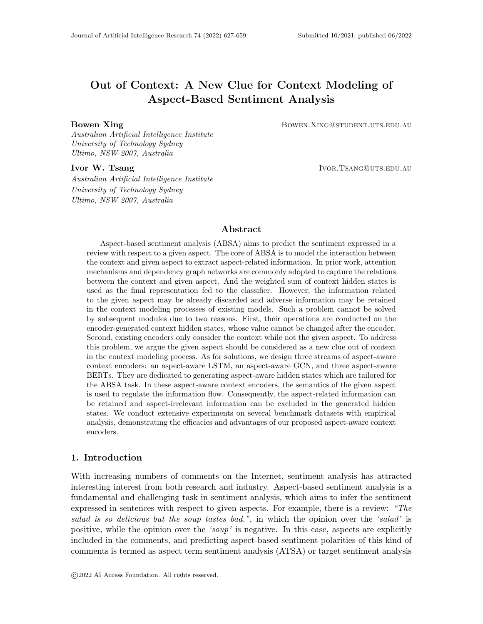introduce the aspect into the input gate, forget gate and output gate in the LSTM cell. AALSTM can utilize aspect to improve the information flow and then generate more effective aspect-specific context hidden states tailored for ABSA task.

• We apply our proposed AALSTM to several representative LSTM-based models, and the experimental results on the benchmark datasets demonstrate the efficacy and generalization of our proposed AALSTM.

In this paper, we significantly extend our work from the previous version in the following aspects:

- We discover that although GCN and BERT are widely adopted and have achieved promising performance in ABSA task, they also suffer the aspect-agnostic problem.
- To solve the aspect-agnostic problem in GCN, we propose the aspect-aware GCN (AAGCN) by augmenting vanilla GCN with a novel aspect-aware convolution gate to introduce aspect semantics into the graph convolution process.
- To solve the problem in BERT, we propose three aspect-aware BERT (AABERT) variants by skillfully modifying the input format of BERT. In this way, our AABERTs can model the intra-sentence dependency between the aspect and context words in a more appropriate way.
- We conduct extensive experiments to evaluate the proposed (Bi-)AALSTM, AAGCN and AABERTs on ABSA task. The results demonstrate that AABERTs can overpass vanilla BERT not only as a single model but also as the context encoder, and AAGCN can work well with both (Bi-)AALSTM and AABERTs. Equipped with our aspectaware context encoders, the baselines proposed several years ago can beat up-to-date models, achieving new state-of-the-art performances.

The remainder of this paper is organized as follows. Section 2 depicts the details of the aspect-agnostic problem. Section 3 summaries the recent studies on ABSA task; Section 4 elaborates the details of our proposed AALSTM and AABERTs; Section 5 introduces the details of experiments; Section 6 gives the evaluation results and analysis; Section 7 discusses the proposed aspect-aware encoders and further investigate their properties and advantages; Section 8 gives the conclusion of this work.

# 2. Aspect-Agnostic Problem

When modeling the context, LSTM cells are aspect-agnostic because no aspect information is introduced to the cell to guidance the information flow. Consequently, the generated hidden states contain the semantic information that is important to the **whole review** rather than the **given aspect**. This is because LSTM inherently tends to retain the important information for the overall semantics of the whole review in generated hidden states. However, considering the characters of ABSA task, a context word is valuable only if its semantics is helpful for predicting the sentiment of the given aspect. On the contrary, if the information of a context word is aspect-irrelevant, it may be noise information and harmful for the prediction of aspect sentiment, and its semantics should be eliminated in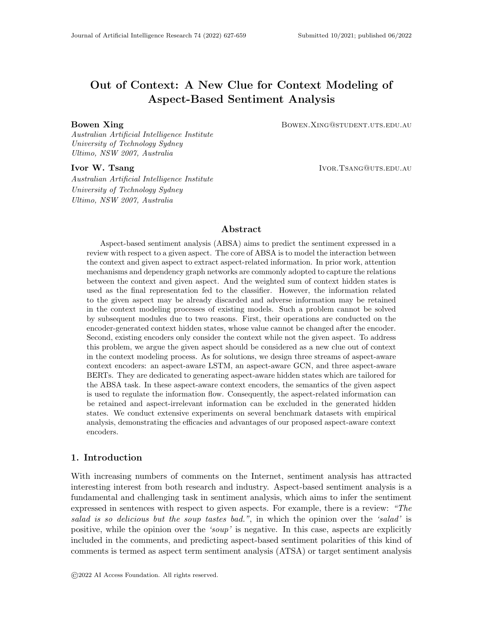



*Pizza* is wonderful compared to the last time we enjoyed at another place, and the *beef* is not bad, by the way.

Figure 2: An example aiming to predict sentiment of beef

the context modeling process of the context encoder. LSTM cannot identify these two kinds of information when modeling the context for that no aspect information is considered in its cells. As a result, the aspect-related information may be already discarded and adverse information may be retained in the hidden state generated by LSTM.

Specifically, the lack of the aspect information considered in LSTM cells may cause the following two issues. For a specific aspect, on one hand, some of the semantic information of the whole review context is useless. This aspect-irrelevant information would adversely harm the final context representation, especially in the situation where multiple aspects exist in one comment. This is because when LSTM encounters an important token for the overall sentence semantics, this token's information is retained in every follow-up hidden state. Consequently, even if perfect attention weights are produced by the attention mechanism, these hidden states also contain useless information in respect to the aspect. And the contained useless information is even magnified to some extent, for that the important tokens are assigned greater attention weights and these tokens may contain some useless information. On the other hand, the information important to the aspect may be not sufficiently kept in the hidden states because of their small contribution to the overall semantic information of the sentence. We define the above issues as the aspect-agnostic problem of LSTM in ABSA task. This is the first time this problem is discovered. Concretely, we take two typical examples to illustrate the aspect-agnostic problem.

The first example: "The salad is so delicious but the soup tastes bad.", as shown in Fig.1. There are two aspects *(salad and soup)* of opposite sentiment polarity. When inferring the sentiment polarity of soup, the token 'so delicious' which modifies salad is also important to the sentence-level semantics of the whole review and therefore LSTM will retain its information in subsequent context words' hidden states, including the hidden states of tastes and bad. Even if tastes and bad are assigned large attention weights by the attention mechanism, the semantics of 'so delicious' will still be integrated into the final aspect-based context representation and enlarged by the large attention weights. As a result, the adverse information from 'so delicious' will harm the prediction of the aspect sentiment of soup.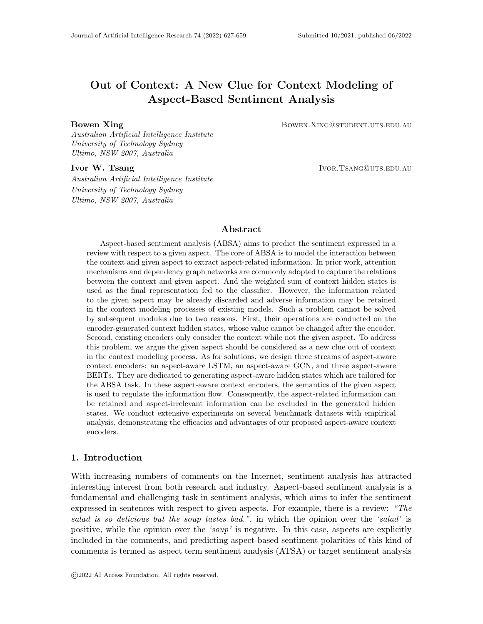#### Xing & Tsang



Figure 3: Illustration of the sentence pair modeling process of BERT1. For simplify, some intra-sentence dependencies between context words are omitted.

The second example: "Pizza is wonderful compared to the last time we enjoyed at another place, and the beef is not bad, by the way.", as shown in Fig.2. We can find that this review is mainly about pizza so LSTM cells will retain a lot of semantics that modifies pizza while less semantics about beef when modeling the context. When inferring the aspect sentiment of beef, as LSTM is aspect-agnostic, probably some key information related to beef is lost in the generated hidden states because of the relatively small contribution of beef -related semantics to the overall semantics of the review.

GCN are conceptual similar to LSTM as they both achieve the message passing from other words/nodes to current word/node. In LSTM, the message passing is from previous words to current word, while in GCN the message is passed from neighbor nodes to current nodes. And LSTM uses gate mechanisms to control the information flow, while in GCN this is achieved by graph convolutions. In the graph convolution process, GCN does not know which nodes are aspect words nodes. Then the important aspect-related information may be discarded and aspect-irrelevant information may be retained. Hence, GCN suffers the same aspect-agnostic problem as LSTM.

As for BERT, BERT0 only takes the context as input and models the **intra-sentence** dependency without consideration of the given aspect. So it suffers the same aspect-agnostic problem as LSTM. In BERT1, the context is in position  $s_1$  and the aspect is in position  $s_2$ . As BERT1 models the concatenated context-aspect pair in the sentence-pair manner, it can extract aspect-related semantics from the context. Consequently, BERT1 is a strong baseline which is shown in Table 4. We attribute these improvements to BERT1's capability of capturing the inter-sentence dependencies of the context  $(s_1)$  and aspect  $s_2$ . The sentence pair modeling process of BERT1 is illustrated in Fig 3. We can observe that BERT1 regards the context  $(s_1)$  and the concatenated aspect  $(s_2)$  as two individual sentences. This is because that the separator token [SEP] and segment embeddings of BERT1 thoroughly separate the context  $(s_1)$  and aspect  $(s_2)$  in the latent space. The inter-sentence dependencies captured by BERT1 is aspect-aware on account of the pre-training of the next sentence prediction task. Although the sentence-pair modeling works like an attention mechanism considering the aspect in position  $s_2$ , there is not sufficient clue from the given aspect in the intra-sentence language modeling process of the context  $(s_1)$ . However, one of key characteristics of ABSA task is that the aspect is contained in the context. As a result, the captured intra-sentence dependencies is general and aspect-agnostic, similar to the ones obtained by LSTM and BERT0. This causes that some useful intra-sentence dependencies between the aspect and its related context words (especially the sentiment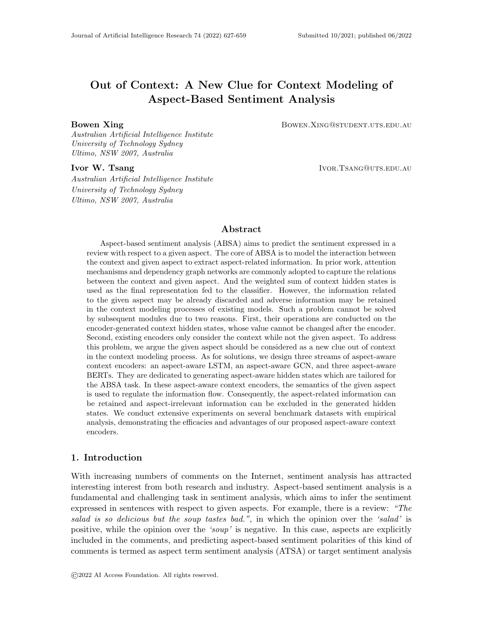trigger words) may be lost in the context modeling process of BERT1. Therefore, both BERT0 and BERT1 suffer the aspect-agnostic problem in ABSA task.

#### 3. Related Work

Some traditional ABSA methods have achieved promising results, while they are laborintensive as they focused on feature engineering or massive extra linguistic resources (Kiritchenko, Zhu, Cherrt, & and, 2014; Wagner, Arora, Cortes, Barman, Bogdanova, Foster, & Tounsi, 2014). As deep learning achieved breakthrough success in representation learning (LeCun, Bengio, & Hinton, 2015), many recent ABSA approaches adopt deep neural networks to automatically extract features and generate the final aspect-based sentiment representation which is a dense vector fed into the classifier. Since the attention mechanism was first introduced to the neural machine translation field (Bahdanau, Cho, & Bengio, 2015), many sequence-based models utilize it to focus on the aspect sentiment trigger words for predicting the aspect's sentiment. The attention mechanism in ABSA takes the aspect vector and the hidden states of context words as input. Then it produces an attention vector to assign each context hidden state a weight according to its relevance to the given aspect.

The core of ABSA task is to model the interaction of the context and given aspect then extract the aspect-related semantics. (Ma et al., 2017) adopted two individual LSTM to model the context and aspect term. The proposed interactive attention mechanism can learn the interaction between aspect and context, extracting the aspect-related information. With the ability of extracting n-gram features, convolution neural network (CNN) (Kim, 2014) is applied to model the interaction between the context and aspect in some previous works (Xue & Li, 2018; Huang & Carley, 2018). (Huang & Carley, 2018) utilized parameterized filters and parameterized gates to incorporate aspect information into CNN. As they declare, it was the first attempt using CNN to solve aspect-based sentiment analysis task. There are also some memory networks (Sukhbaatar, szlam, Weston, & Fergus, 2015) (MNs)-based models (Tang, Qin, & Liu, 2016b; Tay, Anh, & Cheung, 2017; Wang, Mazumder, Liu, Zhou, & Chang, 2018). (Tay et al., 2017) modeled dyadic interactions between aspect and context using neural tensor layers and associative layers with rich compositional operators. (Wang et al., 2018) argues that for the case where several sentences are the same except for different targets, only relying on the attention mechanism is insufficient. It designed several memory networks having their own characters to solve the problem. Capsule network (Sabour, Frosst, & Hinton, 2017) is also exploited to tackle both sentiment analysis and aspect-based sentiment analysis tasks (Wang, Sun, Han, Liu, & Zhu, 2018; Wang, Sun, Huang, & Zhu, 2019; Chen & Qian, 2019). To solve the problem of lacking labeled data of the ABSA task, (Chen & Qian, 2019) transfers the knowledge of the document-level sentiment analysis task to aspect-based sentiment analysis. It designs an aspect routing approach and extends the vanilla dynamic routing approach by adapting it to the transfer learning framework.

As dependency tree can shorten the distance between the aspect and its sentiment trigger words, graph neural network (Scarselli, Gori, Tsoi, Hagenbuchner, & Monfardini, 2009) (GNN) such as graph convolutional network (Thomas N. Kipf, 2017; Zhang et al., 2019; Tang et al., 2020) and graph attention network (GAT) (Veličković, Cucurull, Casanova, Romero, Liò, & Bengio, 2018; Huang & Carley, 2019; Tang et al., 2020) have been adopted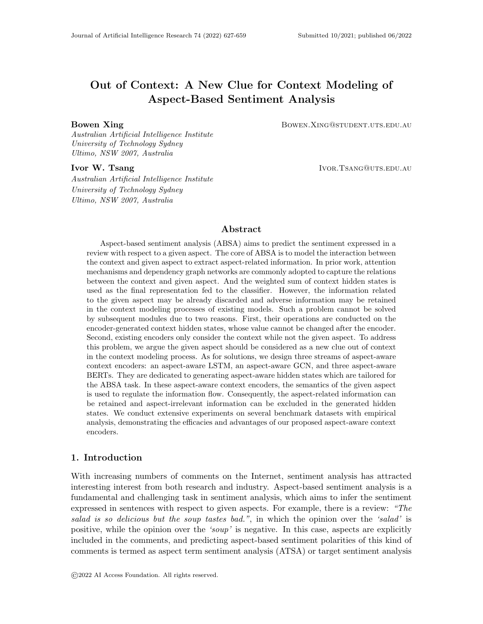for dependency graph modeling. (Zhang et al., 2019; Tang et al., 2020; Tian, Chen, & Song, 2021a) utilized GCN to capture the inner connection between the given aspect and its sentiment trigger words on the semantic dependency tree. (Wang et al., 2020) proposed a relational graph attention network that operates on the aspect-oriented pruned dependency tree. On the pruned dependency tree, each context word is directly connected to the aspect with a defined relation. In order to obtain more comprehensive and sufficient syntactic information, (Xing & Tsang, 2021, 2022) marry the local vanilla dependency graph and the global relation graph to let them compensate for each other.

As for the context encoder, LSTM is the most widely-used context encoder because of its advantages for sequence modeling (Tang, Qin, Feng, & Liu, 2016a; Ma et al., 2017; Devamanyu et al., 2018; Wang et al., 2016; Tay et al., 2018; Liu & Zhang, 2017; Yang, Tu, Wang, Xu, & Chen, 2017; He, Lee, Ng, & Dahlmeier, 2018). And more recently, BERT has proved its power on heterogeneous NLP tasks (Reimers & Gurevych, 2019; Chen et al., 2020; Li et al., 2020) and some ABSA models (Huang & Carley, 2019; Wang et al., 2020; Tang et al., 2020; Tian, Chen, & Song, 2021b; Tian et al., 2021a) adopt BERT as context encoder to obtain high-quality hidden states of context words. (Xu, Liu, Shu, & Yu, 2019) post-trained the BERT encoder on external document-level sentiment classification corpus to enhance BERT's ability of understanding sentiment semantics. And (Yang, Zeng, Yang, Song, & Xu, 2021; Karimi, Rossi, & Prati, 2021) conducted adversarial training to improve aspect sentiment reasoning.

Although previous works can improve ABSA task by tackling different issues, the effectiveness of the context modeling processes of LSTM, GCN and BERT for ABSA task has never been inspected. In this work, we discover the aspect-agnostic problem which is widely suffered by the context encoders of existing works. And we propose the aspect-aware encoders to tackle this problem, improving ABSA from a new perspective.

# 4. Aspect-Aware Context Encoders



Figure 4: Conceptual illustrations of general context encoder and aspect-aware context encoder. Left picture illustrates general context encoder. Right picture illustrate our proposed aspect-aware context encoder.

Motivated by the observation and analysis of the aspect-agnostic problem, we propose to introduce explicit aspect semantics into the context encoder to make the context modeling process aspect-aware, as shown in Fig 4. In this paper, we propose two streams of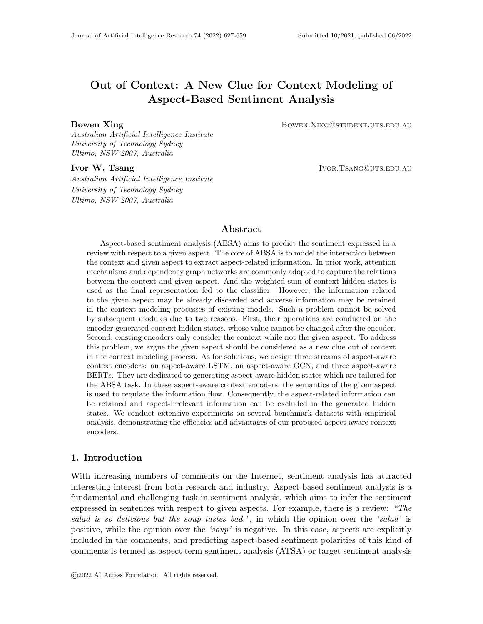aspect-aware context encoders as solutions, whose backbones are vanilla LSTM and BERT respectively. In the following sections, we will introduce the details of the proposed aspectaware context encoders.

#### 4.1 Aspect-Aware LSTM

Vanilla LSTM utilizes three gates (input gate, forget gate, and output gate) to model the dependency within the input word sequence and retain the important long dependency in the forward context modeling process. We argue that the information of the given aspect should be introduced into LSTM cells to help regulate the information flow. Additionally, it is intuitive that in every time step the degree that the semantics of the given aspect is integrated into the three gates of classic LSTM should be dynamically adjusted according to the aspect information and the current semantic states. Therefore, we design three aspect gates that control how much the aspect vector is integrated into the input gate, forget gate, and output gate respectively. The aspect gate mechanism takes the previous hidden state and the aspect vector as input. In this way, AALSTM can dynamically optimize the information flow in LSTM cells according to the given aspect, then generate effective and beneficial aspect-specific hidden states for ABSA task. Figure 5 illustrates the overall architecture of our proposed AALSTM, which can be formalized as follows:

$$
a_i = \sigma(W_{ai}[A, h_{t-1}] + b_{ai})
$$
\n<sup>(1)</sup>

$$
I_t = \sigma(W_I[x_t, h_{t-1}] + a_i \odot A + b_I)
$$
\n<sup>(2)</sup>

$$
a_f = \sigma(W_{af} [A, h_{t-1}] + b_{af})
$$
\n<sup>(3)</sup>

$$
f_t = \sigma(W_f[x_t, h_{t-1}] + a_f \odot A + b_f)
$$
\n<sup>(4)</sup>

$$
C_t = \tanh(W_C \left[ x_i, h_{t-1} \right] + b_C) \tag{5}
$$

$$
C_t = f_t \odot C_{t-1} + I_t \odot \widetilde{C}_t \tag{6}
$$

$$
a_o = \sigma(W_{ao}[A, h_{t-1}] + b_{ao})
$$
\n<sup>(7)</sup>

$$
o_t = \sigma(W_o[x_t, h_{t-1}] + a_o \odot A + b_o)
$$
\n
$$
(8)
$$

$$
h_t = o_t * tanh(C_t)
$$
\n(9)

where  $x_t$  denotes current input context word embedding, A is the aspect vector,  $h_{t-1}$  is the previous hidden state,  $h_t$  is the hidden state of current time step,  $\sigma$  and  $tanh$  are sigmoid and hyperbolic tangent functions,  $\odot$  stands for element-wise multiplication,  $W_{ai}, W_{af}, W_{ao} \in$  $R^{d a \times (d c + d a)}$  and  $W_I, W_f, W_C, W_o \in R^{d c \times 2 d c}$  are weight matrices,  $b_{a i}, b_{a f}, b_{a o} \in R^{d a}, b_I, b_f, b_C$ ,  $b_o \in R^{dc}$  are biases and da, dc stand for the aspect vector's dimension and the number of hidden cells at AALSTM respectively.  $I_t, f_t, o_t \in R^{dc}$  stand for the input gate, forget gate, and output gate respectively. The input gate controls the extent of updating the information from the current input. The forget gate determines what information the current cell state should inherit from the previous cell state. The output gate controls what information in the current cell state should be output as the hidden state of the current time step.  $a_i, a_f, a_o \in R^{da}$  stand for the aspect-input gate, aspect-forget gate and aspect-output gate respectively. They determine the extent of integrating the aspect information into the input gate, forget gate, and output gate respectively.

AALSTM takes two strands of inputs: context word embeddings and the aspect vector. At each time step, the context word entering the AALSTM dynamically varies according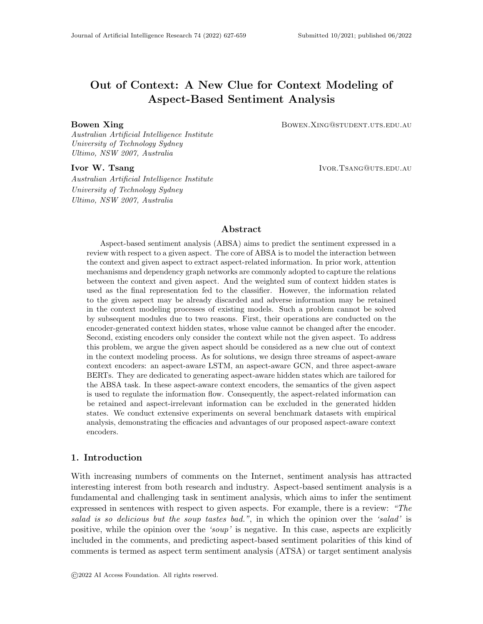

Figure 5: The overall architecture of AALSTM network

to the sequence of words in the sentence, while the aspect vector is identical. Specifically, the aspect vector is the target representation in ATSA, and it is the aspect embedding in ACSA. Next, we describe the different components of our proposed AALSTM in detail.

# 4.1.1 Input Gates

The input gate  $I_t$  controls how much new information from the input context word embedding can be transferred into the cell state. While the aspect-input gate  $a_i$  controls how much the aspect information should be integrated into the input gate  $I_t$ . The difference between  $I_t$  in AALSTM and vanilla LSTM lies in the weighted aspect vector input into  $I_t$ . The aspect-input gate  $a_i$  is computed by  $h_{t-1}$  and A (Eq. 1).  $h_{t-1}$  can be regarded as the previous semantic representation of the partial sentence which has been processed in the past time steps. Hence, the aspect-input gate  $a_i$  is controlled by the previous semantic representation and the aspect vector A. In  $I_t$ , the dynamically weighted aspect information  $a_i \odot A$  is added to the original internal value calculated by  $x_t$  and  $h_{t-1}$  (Eq. 2). Thereby, the dynamically adjusted disturbance from the given aspect can guide  $I_t$  to determine what information from the current input context word embedding should be transferred into the cell state.

# 4.1.2 Forget Gates

The forget gate  $f_t$  abandons trivial information and retains key information from previous cell state  $C_{t-1}$ . The aspect-input gate  $a_f$  controls how much the aspect vector should be integrated into the forget gate  $f_t$ . The difference between AALSTM and vanilla LSTM in  $f_t$  is the introduction of weighted aspect vector. And the aspect-forget gate  $a_f$  is computed by  $h_{t-1}$  and A (Eq. 3). Therefore, the extent of the integration of aspect information into  $f_t$  is decided by the previous semantic representation and the aspect vector A. In  $f_t$ ,  $a_f \odot A$ is added to the original internal value calculated by  $x_t$  and  $h_{t-1}$  (Eq. 4). Thereby, the dynamically adjusted disturbance from the given aspect information can guide  $f_t$  to select aspect-related information from the previous cell state and retain it in the current cell state. In the meantime, aspect-irrelevant information is abandoned.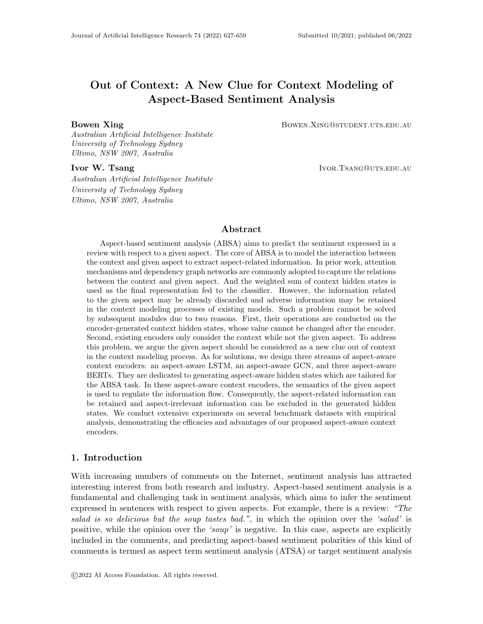# 4.1.3 Candidate Cell and Current Cell

The candidate cell  $\widetilde{C}_t$  represents the alternative input content. The current cell  $C_t$  updates its state by selecting important information from previous cell state  $C_{t-1}$  and the candidate cell  $C_t$ . From Eq. 5 we can observe that there is two kinds of information contained in the alternative input content  $C_t$ : the last hidden state  $h_{t-1}$  and current input context embedding  $x_t$ . While the information in current cell state  $C_t$  consists of the information from previous cell state  $C_{t-1}$  and candidate cell  $C_t$ , as shown in Eq. 6. Considering that the information in  $h_{t-1}$  comes from previous cell state  $C_{t-1}$ , the only source of the information contained in cell state  $C_t$  and hidden state  $h_t$  is the input context word embeddings. So our proposed AALSTM only leverages the given aspect information to regulate the information flow in LSTM cells instead of fusing the aspect information into cell state nor hidden states.

#### 4.1.4 Output Gates

The output gate  $o_t$  controls what information of the current cell state should be output as the hidden state of the current context word. The aspect-output gate  $a<sub>o</sub>$  controls what fraction of aspect should be integrated into the output gate  $o_t$ . The difference between our proposed AALSTM and the vanilla LSTM in  $o_t$  is the integration of the weighted aspect vector into  $o_t$ . And the aspect-output gate  $a_o$  is computed by  $h_{t-1}$  and A (Eq. 7). Therefore, the degree of how much the aspect information is integrated into  $o_t$  is decided by the previous semantic representation and the aspect vector  $A$ . In  $f_t$ , the dynamically weighted aspect information vector  $a_0 \odot A$  is added to the original internal value calculated by  $x_t$  and  $h_{t-1}$ (Eq. 8). Thereby, the optimized disturbance from the given aspect information can guide  $o_t$  to specifically select the appropriate information from the current cell state as the hidden state of the current input context word.

#### 4.2 Aspect-Aware Graph Convolutional Networks

In ABSA, the function of GCN is encoding the local syntactic connections represented by the adjacent matrix derived from the syntax graph predicted by the off-the-shelf dependency parser. The graph convolution operation of vanilla GCN can be written as:

$$
h_i^l = \sum_{j \in \mathcal{N}_i} W_g h_j^{l-1} / (d_i + 1) + b_g \tag{10}
$$

where l denotes l−th GCN layer,  $\mathcal{N}_i$  denotes the set of i–node's neighbor nodes,  $d_i$  is the degree of i–node in the syntax tree,  $W_q$  is weight matrix and  $b_q$  is bias.

To tackle the aspect-agnostic problem of GCN, we propose the aspect-aware GCN (AAGCN) by augment vanilla GCN with the aspect-aware convolution gate. The architecture of AAGCN is illustrated in Figure 6. Our AAGCN can be formulated as:

$$
h_i^l = \sum_{j \in \mathcal{N}_i} W_g \ h_j^{l-1} \odot a_c^j / (d_i + 1) + b_g \tag{11}
$$

$$
a_c^j = \sigma(W_{ac} \left[ A, h_j^{l-1} \right] + b_{ac}) \tag{12}
$$

where A denotes the aspect representation,  $W_{ac}$  and  $b_{ac}$  are the weight matrix and bias respectively. The input of aspect-aware convolution gate is the aspect representation and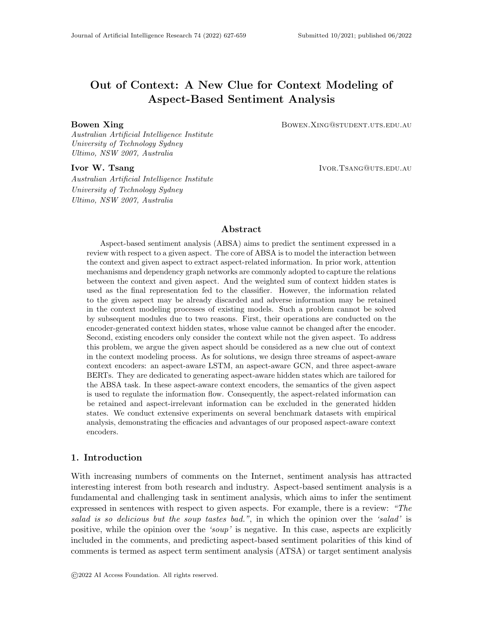

Figure 6: The architecture of our proposed aspect-aware GCN. The black dash line denotes the message passing from layer l to layer  $l + 1$ . The red dash line denotes the aspect semantics helps control what and how much information should be passed from layer  $l$  to layer  $l + 1$ .

the hidden state of the neighbor node. Considering the semantics of the specific aspect and the hidden state of the neighbor node, the aspect-aware convolution gate output a vector which determines what and how much information from the neighbor node should be transfered into the current node. In this way, AAGCN can aggregate the aspect-related information and eliminate aspect-irrelevant information harmful for ABSA in the process of aspect-aware graph convolution. Then AAGCN can generate better hidden states which can improve the performances of ABSA.

#### 4.3 Aspect-Aware BERT

Before we demonstrate our proposed AABERTs, we firstly introduce input and output formats of BERT0 and BERT1, as illustrated in Fig. 7 and Fig. 8. BERT (CLS) (BERT (SEP)) denotes the variant using the hidden state of [CLS] ([SEP]) token for classification. BERT (Pool) uses the average pooling of all generated hidden states of context tokens for classification. In the pre-training process of BERT, the hidden state of [CLS] token is used for prediction (Devlin, Chang, Lee, & Toutanova, 2019). To keep the fine-tuning consistent with the pre-training, previous works adopted BERT (CLS) rather than BERT (Pool) and BERT (SEP) as a strong baseline. In this work, we not only study BERT (CLS) but also BERT (Pool) and BERT (SEP) for ABSA task. As for the Sentiment Reasoning Head, we simply use a fully connected layer, whose output is the sentiment class probability distribution formed in a 3-d vector.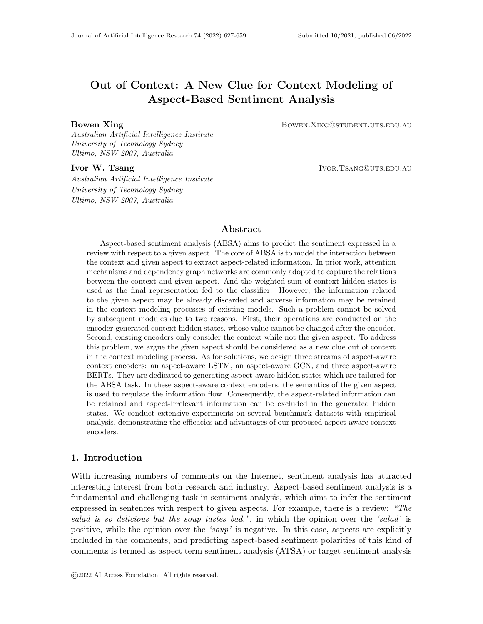

Figure 7: Illustration of BERT0 (CLS) and BERT0 (Pool).



Figure 8: Illustration of BERT1 (CLS), BERT1 (Pool) and BERT1 (SEP).

When designing AABERTs, the original language modeling capacity of pre-trained BERT should be preserved, so we do not modify its internal network architecture. However, to achieve the aspect-awareness in BERT, we have to introduce the semantics of the given aspect to the intra-sentence dependency modeling process of BERT. In this work, our intuition is to provide BERT with the signal of the given aspect without thoroughly separating the context and aspect as two individual sentences. To achieve this, we try to break the isolation of the context  $(s_1)$  and the concatenated aspect  $(s_2)$ , providing a more appropriate signal of the given aspect for BERT. We modify the input format of BERT, more specifically, the setting of segment embedding and [SEP] token. Note that although there are many works aiming to improve BERT, most of them focus on designing different pre-training tasks (Liu, Ott, Goyal, Du, Joshi, Chen, Levy, Lewis, Zettlemoyer, & Stoyanov, 2019; Zhang, Han, Liu, Jiang, Sun, & Liu, 2019; Joshi, Chen, Liu, Weld, Zettlemoyer, & Levy, 2020) and position embeddings(Wang, Shang, Lioma, Jiang, Yang, Liu, & Simonsen, 2021), while the segment embedding and [SEP] token are yet to be studied. Next we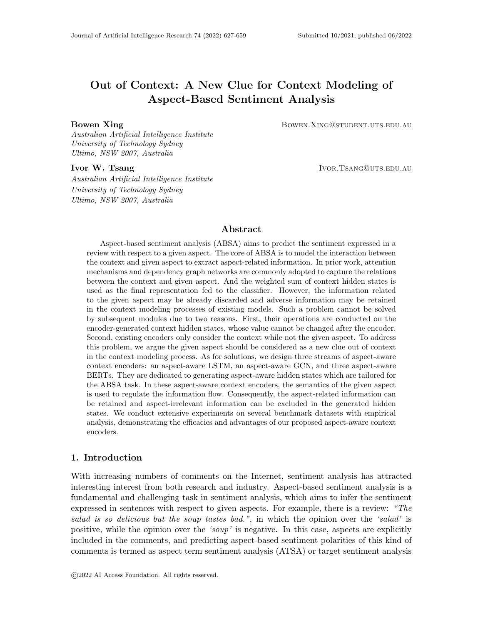introduce the proposed three aspect-aware BERTs whose differences only lie in the input formats.



# 4.3.1 AABERT1

Figure 9: Illustration of AABERT1 (CLS) and AABERT1 (Pool).

The input and output format of AABERT1 is illustrated in Fig. 9. In AABERT1, the context word sequence is concatenated with the word sequence of the given aspect. They are not separated by [SEP] token and the segment embeddings of their tokens are identical. As a result, the input tokens of context and aspect are not separated in the embedding space. The intuition of AABERT1 is to provide the signal of the given aspect without separating the context and aspect. There are two clues of aspect-awareness for intra-sentence context modeling. First, considering the review is of one sentence, the punctuation mark (always '.') at the end of every review is a weak separator to hint that the tokens between it and the end mark ([SEP]) are the given aspect. Second, the co-occurrence of the aspect included in the context  $(s_1)$  and the aspect in position  $s_2$ .

# 4.3.2 AABERT2

The input and output format of AABERT2 is illustrated in Fig. 10. The difference between AABERT2 and AABERT1 lies in the segment embedding. In AABERT2, the segment embeddings of aspect tokens are set different from the ones of context tokens. In the input embedding space, a signal is introduced to separate context and aspect. Therefore, there are three clues indicating the specific aspect: (1) the final punctuation mark of the review context; (2) the co-occurrence of the concatenated aspect and the one include in the context; (3) the different semantic signals of the segment embeddings. These three clues indicate the specific aspect of the current sample. And more importantly, the concatenated aspect is not fully regarded as a separated sentence from the context. Accordingly, the intra-sentence dependencies between the aspect and its related context words can be captured, then the generated hidden states can contain more useful aspect-related information.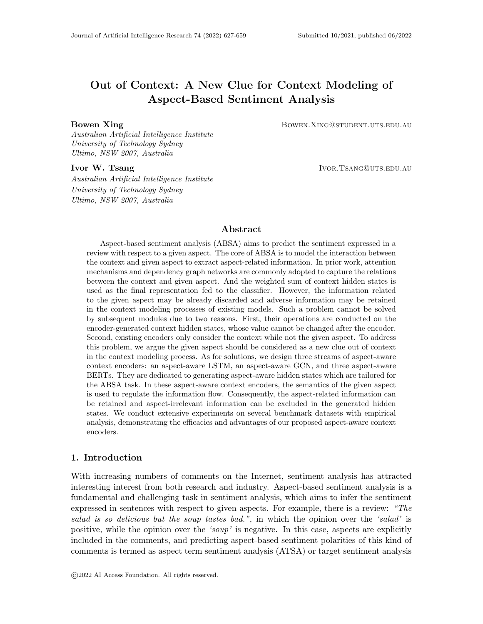

Figure 10: Illustration of AABERT2 (CLS) and AABERT2 (Pool).



Figure 11: Illustration of AABERT3 (CLS), AABERT3 (Pool) and AABERT3 (SEP).

# 4.3.3 AABERT3

The input and output format of AABERT3 is illustrated in Fig. 11. AABERT3 adopts the explicit separator token [SEP] to separate the context and aspect in the input concatenated sequence. However, AABERT3 does not set different segment embeddings for context tokens and aspect tokens to separate them in latent space. Hence, there are two clues of aspectawareness for intra-sentence context modeling: one is the [SEP] token and another is the co-occurrence of the aspect included in the context and the concatenated aspect in position  $s_2$ . Similar to AABERT1 and AABERT2, the concatenated aspect is not fully regarded as a separated sentence from the context. Thus the intra-sentence dependencies between the aspect and its related context words can be captured,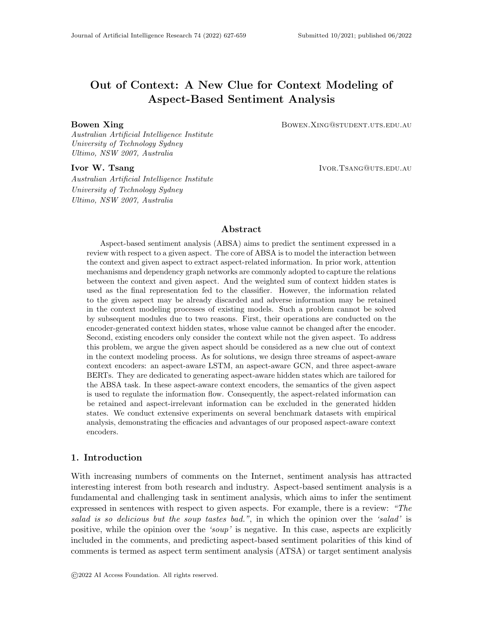# 5. Experiments

# 5.1 Task Definition

We conduct experiments on the two cases of aspect-based sentiment analysis: aspect term sentiment analysis (ATSA) and aspect category sentiment analysis (ACSA). The former infers sentiment polarities of the given aspect term explicitly included in the context word sequence. The latter infers sentiment polarities of generic aspects such as *service* or food which may not be explicitly found in the context word sequence, and these generic aspects belong to a predefined set. In this paper, both of ATSA and ACSA are classification tasks, concretely, they are respectively the subtask 2 (ST2) and subtask 4 (ST4) in SemEval-2014 Task 4 (Pontiki, Galanis, Pavlopoulos, Papageorgiou, Androutsopoulos, & Manandhar, 2014).

# 5.2 Settings

### Datasets

We evaluate the performances of our models on SemEval 2014 (Pontiki et al., 2014) task 4 datasets which consist of laptop and restaurant reviews. These two datasets are widely used benchmarks in many previous works (Wang et al., 2016; Chen et al., 2017; Wang et al., 2018, 2020), and consistent with them we remove the reviews having no aspect or the aspects with sentiment polarity of "conflict". Finally, the datasets consist of reviews with at least one aspect labeled with sentiment polarities of positive, neutral and negative. For ATSA(ST2), we adopt Laptop and Restaurant datasets; for ACSA(ST4), only the Restaurant dataset is available. Full statistics of the datasets are given in Table 1.

| Task        | Dataset          | Pos  | Neg | Neu |
|-------------|------------------|------|-----|-----|
|             | Restaurant Train | 2164 | 807 | 637 |
| <b>ATSA</b> | Restaurant Test  | 728  | 196 | 196 |
|             | Laptop Train     | 994  | 870 | 464 |
|             | Laptop Test      | 341  | 128 | 169 |
| <b>ACSA</b> | Restaurant Train | 2179 | 839 | 500 |
|             | Restaurant Test  | 657  | 222 | 94  |

Table 1: Statistic of all datasets

#### Evaluation

We adopt both Macro-F1 and Accuracy (Acc) to evaluate the models' performances. Generally, higher Acc can verify the effectiveness of the system while it biases towards the majority class, and Macro-F1 provides more indicative information about the average performance of all classes.

Following previous works (Zhang et al., 2019; Tang et al., 2020; Zhang & Qian, 2020), we train the models several times and report the average of best results of each run. Concretely, we train the models 10 times with individual random seeds and the epoch number is 30.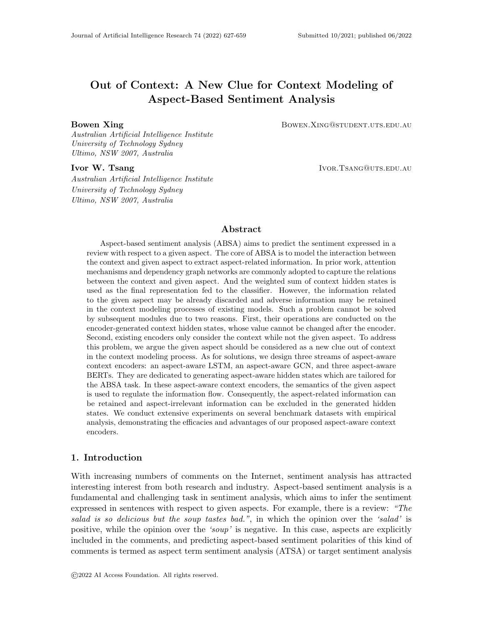### 5.3 Base Models and Compared Models

Firstly, we compare our AALSTM with LSTM as single models. LSTM, LSTM (Pool) and Bi-LSTM denote that the last hidden state of LSTM, the pooling of all hidden states of LSTM and the pooling of all hidden states of Bi-LSTM are taken as the final representation for classification, respectively. And the same notation for AALSTM, as shown in Table 2. The output of Bi-AALSTM is the series of concatenated hidden states of two AALSTMs of different directions.

In Section 1, we divide existing LSTM-based ABSA models into four categories according to their context modeling process. In order to verify the superiority of the proposed AALSTM and AAGCN compared to vanilla LSTM and GCN, we choose some representative models as backbones and replace their original vanilla LSTM and GCN with our proposed AALSTM and AAGCN. We select one representative model from each of these categories for experiments. Accordingly, ATAE-LSTM (Wang et al., 2016), IAN (Ma et al., 2017), RAM (Chen et al., 2017), and ASGCN (Zhang et al., 2019) are chosen as the representatives of the four categories because their architectures are novel and they are widely taken as compared models in previous works. We introduce the four LSTM-based backbones as follows:

- Attention-based LSTM with Aspect Embedding (ATAE-LSTM). It concatenates the aspect embedding to the word embeddings of context words as the initial context word representation input into the LSTM layer. In the attention mechanism, the aspect embedding is utilized to produce the attention vector. We refer to this model as ATAE for short.
- Interactive Attention Networks (IAN). It models context and target separately. And in the interactive attention mechanism, for ATSA task, the context and target leverage the average of each other's hidden states to produce their attention vectors. The representations of the context and aspect are concatenated as the final aspectbased sentiment representations. For the ACSA task, the target modeling module is not available because the aspect category is not a word sequence as the target. So we use the aspect embedding to produce the attention weights of context words.
- Recurrent Attention Network on Memory (RAM). Aiming at ATSA task, it utilizes aspect-relative location to assign weights to original hidden states then produces the attention vector in the recurrent attention mechanism consisting of GRU cells. It can not be applied to the ACSA task for that the aspect category has no location information because it is not included in the word sequence of context.
- Aspect-specific Graph Convolution Networks. Aiming at ATSA task, it employs a GCN to encode the local connections of the syntax graph of context, and use an aspect-aware attention to extract the aspect-related semantics for classification. This model cannot be applied to the ACSA task either, for the same reason as RAM.

Except for evaluating BERT0, BERT1, and our three AABERTs as single models, we also compare them as context encoders in X+BERT experiments by replacing the original BERT encoder with AABERTs. We choose R-GAT+BERT (Wang et al., 2020), which is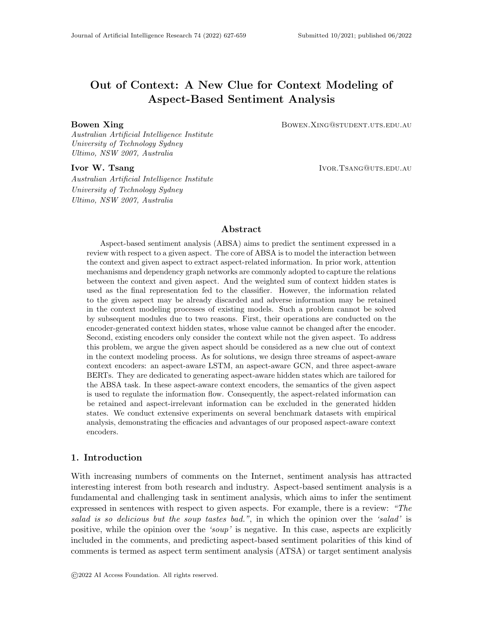a recently proposed BERT-based model for ABSA, as our backbone for X+BERT experiments.

• Relational Graph Attention Network with BERT Encoder. Augmenting graph attention network (Veličković et al., 2018) with relation embedding, (Wang et al., 2020) propose relational graph attention network (R-GAT) which can capture the relations between the aspect and each context word via operating on the starshaped aspect-oriented dependency graph. R-GAT+BERT uses BERT1 to model context and aspect together in the sentence-pair manner and takes the output hidden state of [CLS] token as the aspect representation.

Some state-of-the-art (SOTA) models are chosen for comparison:

- **ATSA (ST2):** TNet (Xin, Lidong, Wai, & Bei, 2018); TD-GAT (Huang & Carley, 2019); BiGCN (Zhang & Qian, 2020); R-GAT (Wang et al., 2020); TDGEDT-BERT (Tang et al., 2020); AEN-BERT (Song, Wang, Jiang, Liu, & Rao, 2019); KGCapsAN-BERT (Zhang, Li, Xu, Leung, Chen, & Ye, 2020); ASGCN + BERT (Zhang et al., 2019); A-KVMN+BERT (Tian et al., 2021b); BERT+T-GCN (Tian et al., 2021a).
- ACSA (ST4): AS-Capsule (Wang et al., 2019), BERT-pair-QA-B (Sun, Huang, & Qiu, 2019).

For fair comparison, we leave out the baselines that utilizes external resources (Gao, Feng, Song, & Wu, 2019; Xu et al., 2019; Yang et al., 2021).

# 5.4 Implementation Details

For LSTM based models, we initialize all word embeddings by Glove vectors (Pennington, Socher, & Manning, 2014) and the out-of-vocabulary words' embeddings are sampled from the uniform distribution  $U(-0.1, 0.1)$ . All embedding dimensions are set to 300. For BERTbased models, we adopt BERT-base uncased English version (Devlin et al., 2019). Initial values of all weight matrices are sampled from the uniform distribution  $U(-0.1, 0.1)$  and initial values of all biases are zeros. The batch size is set as 16. We minimize the crossentropy loss to train our models using the Adam optimizer (Kingma  $\&$  Ba, 2015) with the learning rate set as 0.001 for LSTM-based models and 10−<sup>5</sup> for BERT-based models. To avoid overfitting, for LSTM based models, we adopt the dropout strategy on the input context wording embedding layer and the final aspect-based sentiment representation with  $p = 0.5$ ; for BERT-based models, we adopt the dropout strategy on the BERT output hidden states with  $p = 0.3$ . Besides, weight decay strategy and  $L2$ -regularization are respectively adopted for BERT and LSTM based models.

As for the aspect vector  $(A)$  input into AALSTM or AAGCN, we set it as follows:

• ATSA  $(ST2)$ :

For AALSTM, generally we use the average of word embeddings of the target words as A, while for IAN, we adopt the average of the hidden states of the aspect words as A. For AAGCN, the average pooling of the hidden states of the aspect is taken as A.

# • ACSA  $(ST4)$ :

For all models, we initialize all aspect embeddings by sampling from the uniform distribution  $U(-0.1, 0.1)$ .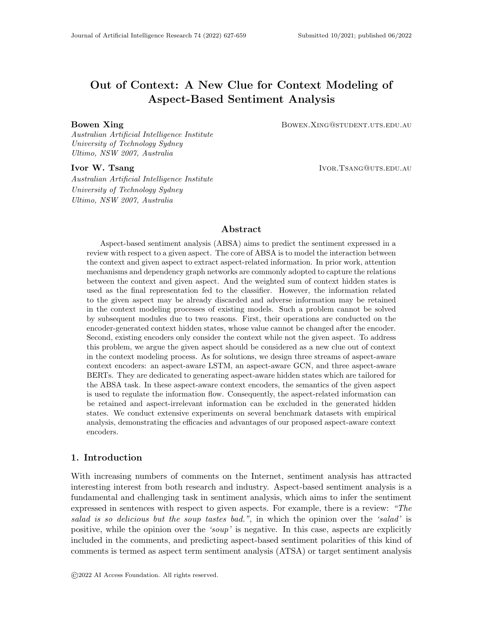For BERT-based models, the aspect category is regarded as a phrase just like the aspect term which is concatenated to the end of context in the input sequence.

# 6. Main Results

Table 2: Evaluation results of LSTM-based models. Best scores are in bold. (AA) denotes that the vanilla LSTM in the backbone is replaced with our AALSTM; (Bi) denotes that the LSTM used in the backbone is Bi-LSTM; (Bi-AA) denotes that the LSTM used in the backbone is replaced with our Bi-AALSTM. † indicates that the aspect-aware variant significantly outperforms the corresponding backbone, with  $p < 0.05$  under t-test.

|             | Models                            | Aspect-Aware    | Macro-F1 Accuracy | $ATSA(ST2)$ -Res14 | $ATSA(ST2)$ -Lap14 |       | $ACSA(ST4)$ -Res14<br>Macro-F1 Accuracy Macro-F1 Accuracy |                          |
|-------------|-----------------------------------|-----------------|-------------------|--------------------|--------------------|-------|-----------------------------------------------------------|--------------------------|
|             | <b>LSTM</b>                       |                 | 61.17             | 75.93              | 60.82              | 68.57 | 71.66                                                     | 82.15                    |
|             | LSTM (Pool)                       |                 | 61.22             | 76.01              | 60.75              | 68.71 | 71.84                                                     | 82.26                    |
| Single LSTM | Bi-LSTM (Pool)                    |                 | 62.45             | 76.61              | 61.33              | 68.94 | 72.07                                                     | 82.69                    |
|             | $AALSTM^{\dagger}$                | AA              | 65.79             | 78.09              | 63.58              | 70.41 | 75.23                                                     | 84.56                    |
|             | $AALSTM (Pool)^{\dagger}$         | AA              | 66.21             | 78.22              | 63.76              | 71.54 | 75.55                                                     | 84.80                    |
|             | Bi-AALSTM (Pool) <sup>†</sup>     | Bi-AA           | 68.91             | 79.42              | 64.25              | 72.21 | 76.32                                                     | 85.23                    |
|             | <b>ATAE</b>                       |                 | 63.12             | 76.83              | 60.56              | 66.96 | 70.61                                                     | 82.17                    |
|             | ATAE (AA)                         | AA              | 63.11             | 76.24              | 58.17              | 65.39 | 71.04                                                     | 82.08                    |
|             | ATAE (Bi)                         |                 | 64.99             | 77.41              | 62.81              | 67.40 | 71.84                                                     | 81.71                    |
|             | ATAE (Bi-AA)                      | Bi-AA           | 64.27             | 76.43              | 62.64              | 68.31 | 71.38                                                     | 82.11                    |
|             | <b>IAN</b>                        |                 | 65.70             | 78.39              | 64.32              | 71.32 | 73.00                                                     | 83.66                    |
|             | IAN $(AA)^{\dagger}$              | AA              | 67.66             | 78.69              | 67.13              | 72.54 | 75.55                                                     | 84.86                    |
|             | IAN(Bi)                           |                 | 68.44             | 79.02              | 65.74              | 72.10 | 73.43                                                     | 83.86                    |
| <b>LSTM</b> | IAN $(Bi-AA)$ <sup>†</sup>        | Bi-AA           | 69.35             | 79.86              | 68.11              | 73.25 | 76.45                                                     | 85.41                    |
|             | RAM                               |                 | 68.47             | 78.21              | 67.89              | 72.41 |                                                           |                          |
| $^{+}$      | RAM $(AA)^{\dagger}$              | AА              | 69.54             | 79.16              | 70.41              | 74.46 |                                                           |                          |
| $\times$    | RAM (Bi)                          |                 | 67.78             | 79.46              | 68.58              | 73.35 |                                                           |                          |
|             | RAM $(Bi-AA)$ <sup>†</sup>        | Bi-AA           | 71.27             | 80.21              | 71.15              | 75.12 |                                                           |                          |
|             | RAM $(Bi-AA) + AAGCN^{\dagger}$   | $Bi-AA + AAGCN$ | 75.17             | 82.53              | 73.77              | 77.27 |                                                           |                          |
|             | ASGCN (Bi)                        |                 | 72.02             | 80.77              | 71.05              | 75.55 | $\overline{\phantom{a}}$                                  | $\overline{\phantom{a}}$ |
|             | ASGCN $(Bi-AA)$ <sup>†</sup>      | Bi-AA           | 73.51             | 81.78              | 72.96              | 76.33 |                                                           |                          |
|             | ASGCN $(Bi, AAGCN)^{\dagger}$     | <b>AAGCN</b>    | 73.74             | 81.96              | 72.34              | 76.96 |                                                           |                          |
|             | ASGCN (Bi-AA, AAGCN) <sup>†</sup> | $Bi-AA + AAGCN$ | 74.14             | 82.18              | 73.44              | 77.22 |                                                           |                          |
|             | TNet                              |                 | 71.03             | 80.42              | 70.14              | 74.61 |                                                           |                          |
|             | TD-GAT                            |                 | 71.72             | 81.32              | 70.74              | 75.63 |                                                           |                          |
| SOTA        | <b>BiGCN</b>                      |                 | 73.48             | 81.97              | 71.84              | 74.59 |                                                           |                          |
|             | $R$ -GAT                          |                 | 73.52             | 81.55              | 72.11              | 75.52 |                                                           |                          |
|             | AS-Capsule                        |                 |                   |                    |                    |       | 73.53                                                     | 85.0                     |

### 6.1 LSTM

Experimental results of LSTM-based models are illustrated in Table 2. First of all, we can find that single AALSTM significantly outperforms vanilla LSTM and ATAE, and even close to IAN and RAM. On  $ATSA(ST2)$ -Res14 dataset, AALSTM overpass LSTM by  $4.6\%$ on F1 score. It is worth mentioning that ATAE, IAN, and RAM all adopt the attention mechanism to extract aspect-related information, while AALSTM and LSTM only model the context and take the last hidden state for prediction. The satisfying performances of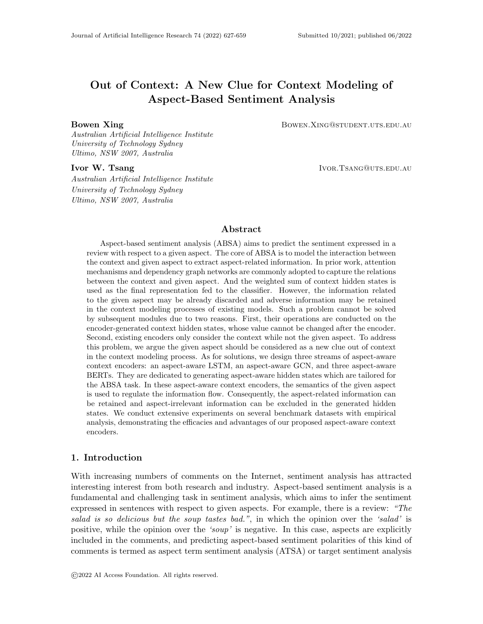#### Xing & Tsang

single AALSTM prove that its generated last hidden state  $H$  contains better and more sentiment indicative information of the given aspect than the last hidden state generated by vanilla LSTM. Generally, the location of the tokens mentioning the given aspect is not at the end of the review context. So it is proved that after training, AALSTM is able to transmit the aspect-related semantics in different context words to the last hidden state along time steps. And we can observe that generally the pooling variants of LSTM and AALSTM perform better than the ones adopting the last hidden state for classification. We speculate that there is some important information which is not contained in the last hidden state, and the pooling variant can aggregate the important in all hidden states into the final representation, which leads to better performance. Besides, we can find that Bi-AALSTM obtains significant improvement via only concatenating two unidirectional AALSTM. This is because Bi-AALSTM can aggregate the aspect-specific semantics from both directions, and the final representation is more sufficient.

To further verify the superiority of AALSTM over vanilla LSTM, we replace the original LSTM in the four backbones (ATAE, IAN, RAM and ASGCN) with our proposed AAL-STM. In the implementation of our experiments, the only difference between original models and their AA or Bi-AA variants is the replacement of vanilla LSTM or Bi-LSTM. So the performance improvement can directly demonstrate the effectiveness of our proposed AAL-STM and Bi-AALSTM. We can observe that (Bi-)AALSTM can significantly improve the performances of IAN, RAM and ASGCN, especially on Macro-F1. On ATSA(ST2)-Lap14 dataset, IAN (AA) has 2.8% and 1.2% improvement on F1 and Acc, respectively. On ACSA task, IAN (AA) gets an improvement of 2.6% on F1 compared with IAN, and IAN (Bi-AA) outperform IAN (Bi) on  $ACSA(ST4)$  by 3% in terms of F1. IAN (AA) and IAN (Bi-AA) outperforms AS-Capsule by 3% on F1. Compared with AS-Capsule, IAN (AA) and IAN (Bi-AA) respectively obtain 2% and 3% improvement in terms of F1.

To analyze the significant improvements on F1, we dissect the performances of IAN and IAN (AA) on the three sentiment classes, and AS-Capsule is also compared on ACSA task. The comparisons are shown in Fig. 12. We can observe that AALSTM can improve IAN's performance on all sentiment classes. Especially, AALSTM can significantly improve the performance on Neutral class. And IAN (AA) overpasses AS-Capsule on Neutral class by a large margin. As shown in previous works (Wang et al., 2016; Tay et al., 2018; Wang et al., 2019), the sentiment prediction of Neutral class is much harder than the other two sentiment classes. This is caused by two main issues. First, as shown in Table 1, the Neutral class has much fewer samples, compared with the other two sentiment classes. This causes neural ABSA models do not have enough chances to learn how to effectively identify and extract the features that are important for correctly inferring the Neutral sentiment. Second, the key information about the given aspect with Neutral sentiment may be discarded in the context modeling process of vanilla LSTM, especially on the multi-aspect situation where there are other aspects with *Positive* or *Negative* sentiment. Compared with the tokens expressing *Positive* or *Negative* sentiments on other aspects in the same review, the tokens modifying *Neutral* aspect is prone to be neglected by vanilla LSTM cells to some extent. This is because the semantic information of the tokens modifying *Neutral* aspect seems too general against the overall semantic background of the context. The comparisons in Fig 12 proves that by taking the semantics of the given aspect into consideration when modeling context, AALSTM can effectively alleviate above two issues.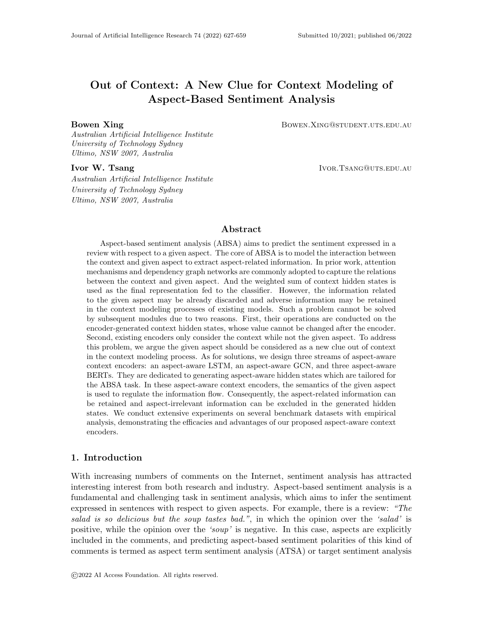

Figure 12: Performance comparison on different sentiment polarities.

However, we can find that AALSTM brings diminishing performances for ATAE model. ATAE represents a category of models that utilize aspect embedding concatenation (AEC) for the joint modeling of aspect and context. We suspect that the aspect information fused in the context word representations input into AALSTM may adversely affect the aspectaware mechanism's ability of identifying the sentiment indicative information of the given aspect and the noise information with respect to the given aspect (this conjecture is verified in Sect. 7.1).

To investigate the efficacy of our proposed AAGCN, we replace the vanilla GCN in ASGCN with it. We can observe that ASGCN (Bi, AAGCN) significantly outperforms ASGCN (Bi). This proves the superiority of AAGCN over vanilla GCN. The aspect-aware graph convolution process of AAGCN can aggregate more aspect-related semantics to current node from its neighbor nodes, and discard the useless information simultaneously. Therefore, AAGCN can generate better node representations, which improve performances. With the adoption of both Bi-AALSTM and AAGCN, ASGCN (Bi-AA, AAGCN) obtains even better performances, outperforming up-to-date state-of-the-art models by large margins. This proves that AALSTM can work well with AAGCN, generating much better hidden states which contain not only aspect-related semantics but also syntactic information. Additionally, we add AAGCN to RAM (Bi-AA) and we can find the performances are significantly improved, even overpassing ASGCN (Bi-AA, AAGCN). This is because the addition of AAGCN not only introduces syntactic information but also further regulates the information flow regarding the specific aspect.

# 6.2 BERT

Table 3: Illustration of input formats of different BERT versions. 'SEP Token' column indicates whether using the [SEP] token. 'Segment Embedding' column indicates whether the segment embeddings of context words and the concatenated aspect words are different.

| Models       | SEP Token | Segment Embedding | Input Format                                   |
|--------------|-----------|-------------------|------------------------------------------------|
| <b>BERTO</b> |           |                   | $[CLS]$ + Context + $[SEP]$                    |
| BERT1        |           |                   | $[CLS]$ + Context + $[SEP]$ + Aspect + $[SEP]$ |
| AABERT1      |           |                   | $[CLS]$ + Context + Aspect + $[SEP]$           |
| AABERT2      |           |                   | $[CLS]$ + Context + Aspect + $[SEP]$           |
| A A BERT3    |           |                   | $[CLS]$ + Context + $[SEP]$ + Aspect + $[SEP]$ |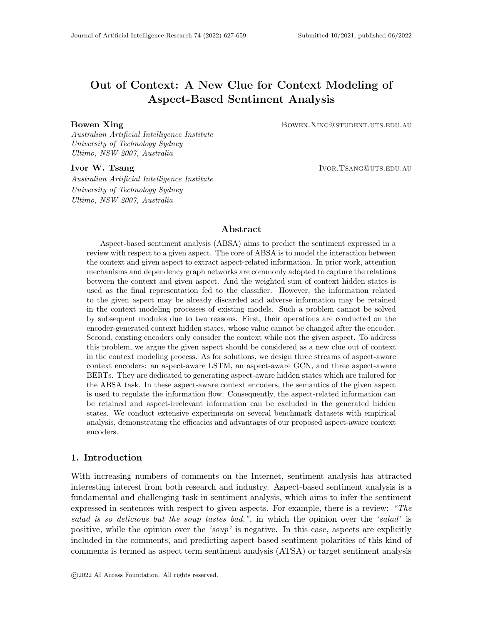| Models      |                                                    |                   |                      | $ATSA(ST2)$ -Res14   $ATSA(ST2)$ -Lap14 |                   | $ACSA(ST4)$ -Res14                                    |                            |  |
|-------------|----------------------------------------------------|-------------------|----------------------|-----------------------------------------|-------------------|-------------------------------------------------------|----------------------------|--|
|             |                                                    |                   |                      |                                         |                   | Macro-F1 Accuracy Macro-F1 Accuracy Macro-F1 Accuracy |                            |  |
|             | BERTO (CLS)                                        | 71.26             | 81.93                | 73.61                                   | 78.12             | 81.03                                                 | 88.90                      |  |
|             | BERT0 (Pool)                                       | 72.85             | 82.46                | 73.40                                   | 77.99             | 81.93                                                 | 89.42                      |  |
|             | BERT1 (CLS)                                        | 79.68             | 85.96                | 74.70                                   | 78.79             | 84.20                                                 | 90.61                      |  |
|             | BERT1 (Pool)                                       | 80.07             | 86.16                | 76.27                                   | 80.06             | 84.65                                                 | 90.69                      |  |
| BERT        | BERT1 (SEP)                                        | 79.90             | 86.09                | 75.84                                   | 79.48             | 85.16                                                 | $91.20\,$                  |  |
|             | AABERT1 (CLS)                                      | 80.17             | 86.27                | 75.71                                   | 79.91             | 85.18                                                 | $90.96\,$                  |  |
| Single      | AABERT1 (Pool)                                     | 79.75             | $86.06\,$            | 76.19                                   | 80.03             | 83.35                                                 | 89.89                      |  |
|             | AABERT2 (CLS)                                      | 80.08             | 86.19                | 75.88                                   | 79.61             | 84.42                                                 | 90.79                      |  |
|             | AABERT2 (Pool)                                     | 79.98             | 86.04                | 76.61                                   | 79.98             | 83.79                                                 | $90.28\,$                  |  |
|             | AABERT3 (CLS)                                      | 79.90             | 85.97                | $75.41\,$                               | 79.31             | 84.65                                                 | 90.76                      |  |
|             | AABERT3 (Pool)                                     | 79.76             | 86.09                | 76.27                                   | 79.67             | 84.67                                                 | $\boldsymbol{90.65}$       |  |
|             | AABERT3 (SEP)                                      | 79.42             | 85.86                | 74.76                                   | 78.68             | 84.85                                                 | $\boldsymbol{90.64}$       |  |
|             | $R-GAT + BERT0$                                    | $73.51\,$         | 82.48                | $73.75\,$                               | 78.10             |                                                       |                            |  |
|             | $R-GAT + BERT1$                                    | 80.23             | 86.22                | 75.71                                   | $79.45\,$         |                                                       |                            |  |
|             | $R$ -GAT + AABERT1                                 | $80.12\,$         | 86.19                | 76.07                                   | 79.91             |                                                       |                            |  |
|             | $R-GAT + AABERT2$                                  | 79.82             | 86.07                | 76.00                                   | 79.83             |                                                       |                            |  |
| <b>BERT</b> | $R$ -GAT + AABERT3                                 | $79.55\,$         | $85.99\,$            | 75.78                                   | $79.56\,$         |                                                       |                            |  |
| $+$         | $R-GAT2 + BERT0$                                   | 79.60             | 86.03                | 75.76                                   | 79.37             | $\overline{\phantom{a}}$                              |                            |  |
|             | $\times$ R-GAT2 + BERT1                            | $80.31\,$         | 86.44                | 75.84                                   | 79.37             |                                                       |                            |  |
|             | $R$ -GAT2 + AABERT1                                | $80.21\,$         | $86.38\,$            | 76.22                                   | 79.84             |                                                       |                            |  |
|             | $R$ -GAT2 + AABERT2                                | 80.07             | 86.46                | 76.21                                   | 79.73             |                                                       |                            |  |
|             | $R$ -GAT2 + AABERT3                                | 80.47             | 86.59                | 76.32                                   | 79.76             |                                                       |                            |  |
|             | $AAGCN + AABERT3$                                  |                   |                      |                                         | $\blacksquare$    | $86.74^{\dagger}$                                     | $\overline{92.82}^\dagger$ |  |
|             | $\overline{\text{ASGCN (AAGCN)} + \text{AABERT3}}$ | $80.84^{\dagger}$ | 86.64                | 77.20                                   | 80.56             | ÷,                                                    |                            |  |
|             | $RAM + AAGCN + AABERT3$                            | 80.69             | $86.79$ <sup>†</sup> | $78.01^{\dagger}$                       | $81.20^{\dagger}$ | $\overline{\phantom{a}}$                              | ÷,                         |  |
|             | <b>AEN-BERT</b>                                    | 73.76             | 83.12                | 76.31                                   | 79.93             |                                                       |                            |  |
|             | DGEDT-BERT                                         | 80.0              | 86.3                 | $75.6\,$                                | $79.8\,$          |                                                       |                            |  |
|             | KGCapsAN-BERT                                      | 79.00             | $85.36\,$            | 76.61                                   | 79.47             |                                                       |                            |  |
| SOTA        | $ASGCN + BERT$                                     | 79.32             | $85.87\,$            | $74.35\,$                               | 78.92             |                                                       |                            |  |
|             | A-KVMN+BERT                                        | 77.94             | $85.98\,$            | 76.14                                   | 79.78             |                                                       |                            |  |
|             | BERT+T-GCN                                         | 79.40             | $85.95\,$            | $76.95\,$                               | $80.56\,$         |                                                       |                            |  |
|             | BERT-pair-QA-B                                     |                   |                      |                                         |                   |                                                       | 89.9                       |  |

| Table 4: Evaluation results of BERT-based models. Best scores are in <b>bold</b> . <sup>†</sup> indicates |  |  |  |  |  |
|-----------------------------------------------------------------------------------------------------------|--|--|--|--|--|
| that the score significantly overpass the baselines', with $p < 0.05$ under t-test.                       |  |  |  |  |  |

We list the input formats of BERT0, BERT1 and our three AABERTs in Table 3 to help distinguish them. Experimental results of BERT-based models are illustrated in Table 4. We can observe that BERT0 (CLS) and BERT0 (Pool) obtain the worst results. This is because there is no aspect semantics introduced. And among other single BERT models, BERT1 (CLS) achieves the worst results on ATSA task, although it is widely used for sentence classification. Our proposed AABERTs show significant superiority to BERT1 on ATSA task. Remarkably, AABERT2 (Pool) even overpass some state-of-the-art models in terms of F1 on  $ATSA(ST2)$ -Lap14 dataset. This proves its strong capability of extracting aspect-related information from context words, which is because AABERT1 can effectively model the **intra-sentence dependencies** between the given aspect and context words. On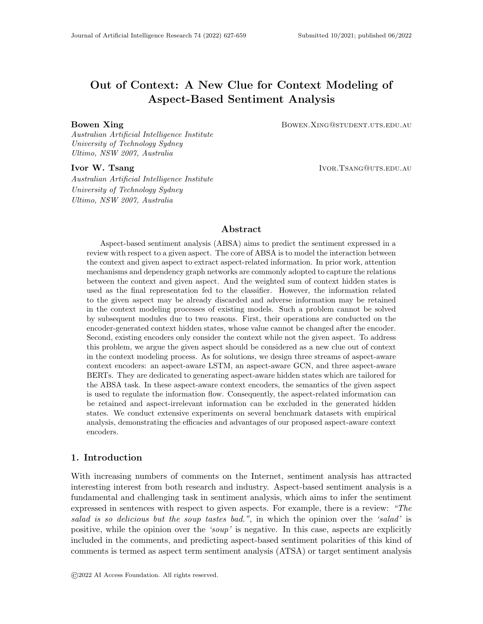ACSA task, we can find that BERT1 (SEP) slightly outperforming our proposed AABERTs. This is because aspect categories are not included in the context word sequence. In this case, AABERTs' advantage of intra-sentence dependencies modeling is hindered because the aspect is not a word sequence included in the sentence.

To evaluate the effectiveness of AABERTs as context encoders, we conduct experiments on recent proposed R-GAT+BERT by replacing the original BERT with AABERTs. Note that R-GAT+BERT is only available for ATSA task and in its original architecture, the BERT is BERT1 and the hidden state of [CLS] token is taken as the aspect representation. We can find that generally, R-GAT+AABERTs outperform R-GAT+BERT1 and R-GAT+BERT0, while on  $ATSA-Res14$  dataset R-GAT+AABERTs slightly underperform to R-GAT+BERT1.

As R-GAT+BERT takes the hidden state of [CLS] token as aspect representation, we suspect the generated hidden states of [CLS] tokens may lose some important aspect-related information when aggregating the (aspect-related) context information. Since average pooling can retain the original information as much as possible, we propose R-GAT2+BERT which takes the average pooling of all context hidden states as aspect representations. The performances of R-GAT2+BERTs are demonstrated in Table 4. We can observe that the performances are improved via only changing the way of obtaining the aspect representation from CLS to Pool . In addition, this operation costs no extra time and computation at implementation.

Another interesting phenomenon is that the collaboration of R-GAT and AABERTs  $(BERT0/BERT1)$  does not bring improvements for AABERTs (BERT1) on  $ATSA(ST2)$ - $Lap14$  dataset. We suspect the reason is that the grammatical correctness of the reviews in  $ATSA(ST2)-Lap14$  dataset is lower than the reviews in  $ATSA(ST2)-Res14$  dataset, which was revealed in (Zheng, Zhang, Mensah, & Mao, 2020). And the R-GAT heavily relies on the precision of dependency graphs, which may be incorrectly parsed due to the ungrammatical sentences. As a result, the performances of R-GAT+BERTs on  $ATSA(ST2)$ -Lap14 dataset are not promising enough.

To evaluate the efficacy of combining AAGCN and AABERT, we design three models: AAGCN + AABERT3, ASGCN (AAGCN) + AABERT3 and RAM + AAGCN+ AABERT3, in which the original LSTM encoder is replaced with our proposed AABERT3 encoder. AAGCN + AABERT3 takes the average pooling of hidden states as the final representation for classification. We can observe that it achieves new state-of-the-art performances on ACSA(ST4). This proves that although AABERT have strong ability of context modeling and retain aspect-related semantics, AAGCN can further improve the performance by integrating syntactic information and further aggregating aspect-centric semantics. And we can find that RAM + AAGCN + AABERT3 achieves new state-of-the-art performance on ATSA(ST2). Although RAM is a model proposed in 2017, with the power of our proposed AAGCN and AABERT3, it beats the up-to-date models proposed in 2020 and 2021.

It is worth mentioning that all of the improvements of AABERTs are achieved by skillfully modifying the input format of BERT, which is pretty easy to implement in practice. And our proposed AABERTs do not cause extra computation and time cost because they have the same architecture and parameters with vanilla BERT. Duo to this, the improvements of AABERTs over vanilla BERT are not very significant. However, AAGCN can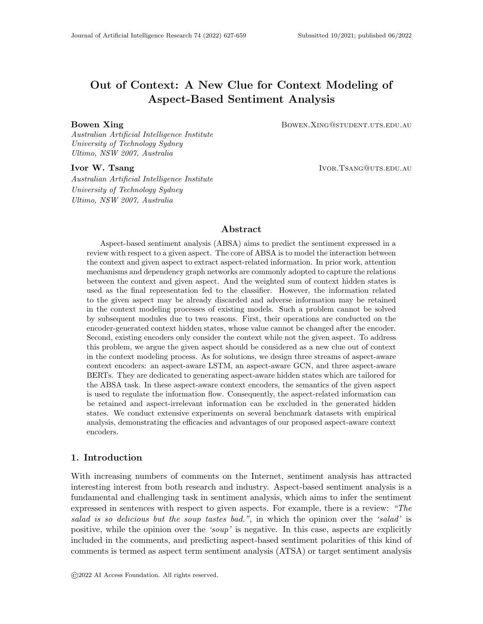| Models                  | (per epoch) | Training Time   Inference Time<br>(per sample) | <b>GPU</b> Memory | Acc   |
|-------------------------|-------------|------------------------------------------------|-------------------|-------|
| $RAM(Bi-AA) + AAGCN$    | 4.8s        | 0.7 <sub>ms</sub>                              | 1.2G              | 77.3% |
| $RAM + AAGCN + AABERT3$ | 14.4s       | 2ms                                            | 7.2G              | 81.2% |
| Improvement of BERT     | 300%        | 300%                                           | 600%              | $5\%$ |

Table 5: Comparison of our proposed LSTM- and BERT- based models on different factors of Computation Efficiency.

work well with AABERTs to generate high-quality hidden states which can significantly improve performances and lead to new state-of-the-art results.

# 6.3 Computation Efficiency of AALSTM- and AABERT-Based Models

From the results demonstrated above, we can observe than BERT has absolute superiority over LSTM: even the basic BERT1 significantly overperforms the best LSTM-based model RAM (Bi-AA) + AAGCN. However, this does not mean that LSTM-based models should be abandoned. In real-world scenarios, not only the model performance is important, but also computation efficiency is also crucial. Table 5 shows the Computation Efficiency of our proposed RAM  $(Bi-AA)$  + AAGCN and RAM + AAGCN + AABERT3. We can find that the AABERT-based model costs 3 times of training and inference time compared with the AALSTM-based model, and even requires 6 times of GPU memory, while it only surpasses the AALSTM-based model by about 5% on performance. Therefore, LSTM-based models is much more efficient on computation and costs much less resource. In some cases, especially the ones demanding fast inference while without adequate computing resources, BERT-based models are impractical to use. In contrast, LSTM-based models can effectively handle the task with much fewer parameters and faster inference speed.

# 7. Discussion

#### 7.1 Effect of Aspect Embedding Concatenation

In Section 6, we observe that the ATAE (AA) performs worse than ATAE. And we speculate the reason is the aspect embedding concatenation (AEC) adversely affects the aspect-aware gate mechanism of AALSTM, which is characterized by its ability of identifying the beneficial and adverse information with respect to given aspect at every time step. From Eq. 1, 3, and 7 we can find that the aspect gate mechanism is controlled by A and  $h_{t-1}$  which are concatenated together. The objective of the aspect-aware gate mechanism is to model the relation between the given aspect and the current semantic state then determine how much information from the given aspect should be integrated into the three gates of LSTM. But because of AEC, much information of the given aspect is fused into the generated hidden states. So A and  $h_{t-1}$  have much overlap with each other. This greatly increases the difficulty of modeling their relation. Moreover, from Eq. 2, 4, 8 we can find that the weighted A is added to the internal value of the three gates of LSTM. The object of this operation is to regulate the information flow of LSTM cells by adding some disturbance from A to the original internal value calculated by  $x_t$  and  $h_{t-1}$ . Without AEC, there is little aspect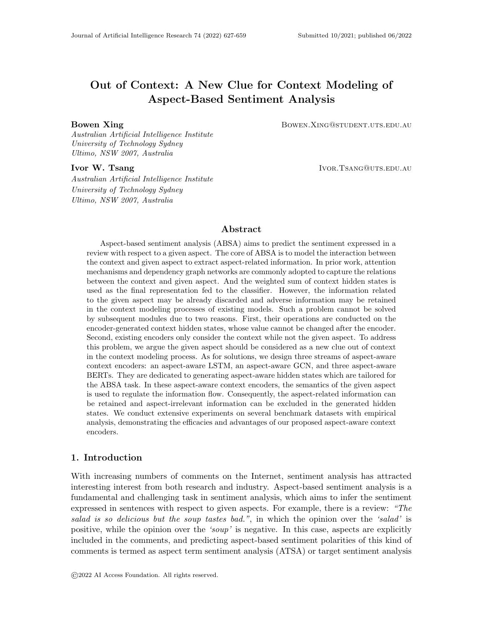information in  $x_t$  and  $h_{t-1}$ , so the disturbance from A can effectively adjust the three gates of LSTM with respect to the given aspect. But if AEC is adopted, there will be much aspect information contained in  $x_t$  and  $h_{t-1}$ . As a result, the influence of the disturbance from A is little, even invalid from the experimental results.

Table 6: Performance comparison of ATAE variants on three datasets. <sup>†</sup> indicates that ATAE (AA) w/o AEC significantly outperform ATAE and ATAE (AA), with  $p < 0.05$ under t-test.

| Models              | $ATSA(ST2)$ -Res14 |                   | $ATSA(ST2)$ -Lap14 |                   | $ACSA(ST4)$ -Res14                     |                   |  |
|---------------------|--------------------|-------------------|--------------------|-------------------|----------------------------------------|-------------------|--|
|                     | $Macro-F1$         | Accuracy          |                    |                   | Macro-F1 Accuracy    Macro-F1 Accuracy |                   |  |
| <b>ATAE</b>         | 63.12              | 76.83             | 60.56              | 66.96             | 70.61                                  | 82.17             |  |
| ATAE (AA)           | 63.11              | 76.24             | 58.17              | 65.39             | 71.04                                  | 82.08             |  |
| ATAE $(AA)$ w/o AEC | $65.08^{\dagger}$  | $77.10^{\dagger}$ | $62.45^{\dagger}$  | $68.87^{\dagger}$ | $72.61^{\dagger}$                      | $83.48^{\dagger}$ |  |

To confirm our conjecture, we conduct a set of ablation experiments based on ATAE model to study the effect of AEC. Table 6 demonstrates the experimental results. We can find that if AEC is removed from ATAE (AA), the model's performance gets significant increase. Just because of the adoption of AEC, the advantage of AALSTM is blocked out. The evaluation results of this set of ablation experiments provide solid evidence that AEC has an adverse influence on AALSTM. Based on the experimental results we can come to the conclusion that the purity of input initial context word representations is critical for AALSTM to retain the important information and eliminate the adverse information according to the given aspect for ABSA task. The purity here means the input word embeddings to AALSTM should only contain the semantic information about the context word itself. In fact, the ability of identifying the important and adverse information in the overall semantic space of the whole review according to the given aspect is the foundation of AALSTM's aspect-aware gate mechanism and the reason why it can generate more effective hidden states tailored for ABSA task.

#### 7.2 Investigation on the Effect of Aspect Numbers

In both real-world scenarios and the SemEval 2014 datasets, it is a common phenomenon that multiple aspects are mentioned in the same review. As revealed in previous work (Zhang et al., 2019), the adverse interactive affect between different aspects contained in the same review limits ABSA models' performances to a large extent. The fundamental cause of the multi-aspect problem is that the sentiment indicative information of different aspects

Table 7: Detailed statistics of the test sets of the three datasets.  $#Aspect\_Number$  denotes the subset in which there are *Aspect\_number* aspects contained in the same review.

| Test Set Group                 | #1 | #2          | #3 | #4                 | #5  | #6     | #7 | #13 |
|--------------------------------|----|-------------|----|--------------------|-----|--------|----|-----|
| ATSA-Restaurant                |    |             |    | 284 371 233 124 70 |     | 18     |    |     |
| ATSA-Laptop                    |    | 257 204 101 |    | 40                 | -30 |        |    |     |
| $ACSA-Restaurant$   578 293 96 |    |             |    |                    |     | $\sim$ |    |     |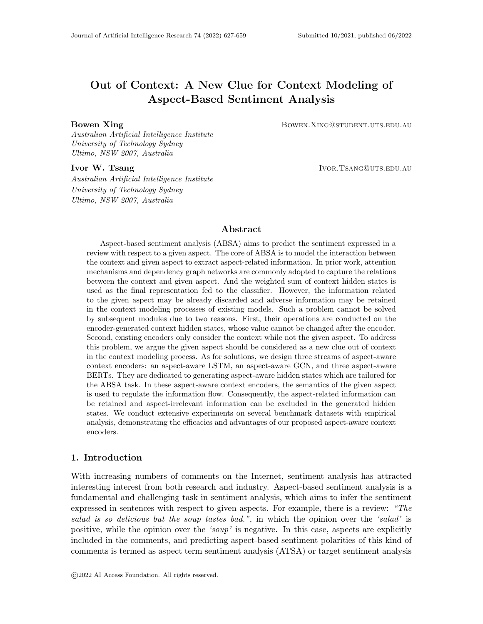

Figure 13: Performance comparison of LSTM-based models on different aspect numbers.



Figure 14: Performance comparison pf BERT-based models on different aspect numbers.

is intertwined and interactively affects each other in the context modeling process. Even if a perfect attention mechanism is designed and learned, this problem can not be resolved. This is because that when predicting the sentiment of a given aspect, the harmful information for other aspects is contained in the generated hidden states, which can not be changed by the attention mechanism. In AALSTM, the aspect gate mechanism helps the three LSTM gates only retain the beneficial information and filter out the adverse information regarding the given aspect. In AABERTs, our designed input format can make BERT model the intra-sentence dependencies between the given aspect and their sentiment trigger words, retaining aspect-related and eliminating aspect-irrelevant information in generated hidden states. Theoretically, AALSTM and AABERTs can effectively alleviate the multi-aspect adversely interactive affect and improve ABSA model's performance in the multi-aspect situation. To prove this, we evaluate the models' performances on different test set groups divided based on the number of aspects existing in one context. Table 7 lists the statistics of the divided test sets. To eliminate the result uncertainty, we group the instances of  $#6$ , #7 and #13 subsets in the test set of  $ATSA-Restaurant$  into one subset: >5, and remove the  $\#6$  subset from the test set of ATSA-Laptop as well as  $\#4$  subset from the test set of ACSA-Restaurant. The performance comparisons is illustrated in Fig. 13 and Fig. 14.

As illustrated in Fig. 13, AALSTM boosts IAN's performance in the multi-aspect situation. On different multi-aspect number classes, AALSTM is stably superior to vanilla LSTM. On  $ATSA-Restaurant$  test set, when  $\#Aspect_Number$  rises to 2 from 1 as well as from 4 to 5, IAN and IAN (AA) have dramatically opposite performance trends: IAN's performance drops while IAN  $(AA)$ 's performance increases. On  $ATSA\text{-}Laptop$  test set, when  $\#Aspect\_Number$  changes to 2 from 1, IAN  $(AA)$ 's accuracy nearly remains unchanged, but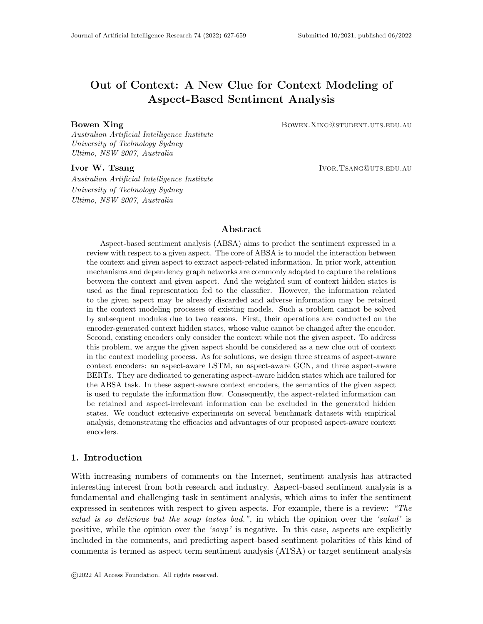IAN's performs worse significantly. Remarkably, on ACSA task, when  $#Aspect_Number$ comes to 3, IAN's performance has a significant decline but IAN (AA)'s performance not only has no decline, it even improves, nearly linearly as  $#Aspect\_Number$  increases. From Fig. 14, we can observe that on ATSA task the performance trends of R-GAT+BERT1 and R-GAT2+BERT2 are similar as  $\#Aspect\_Number$  increases. However, the performance of R-GAT+BERT1 is fluctuated in the multi-aspect situation, while R-GAT2+BERT2 is more stable and generally performs better. On ACSA task, we can also observe that AABERT1 (CLS) is more stable than BERT1 (CLS) and obtains better results.

#### 7.3 Cross Domain Evaluation

Table 8: Cross Domain evaluation results on ATSA task.  $L \to R$  denotes models are trained on Laptop domain while evaluated on Restaurant domain, and vice versa. Top 2 scores are underlined and best scores are in bold.

| Models                  | $L \rightarrow R$ |       | $R \rightarrow L$ |       |  |
|-------------------------|-------------------|-------|-------------------|-------|--|
|                         | F1                | Acc   | F1                | Acc   |  |
| BERT <sub>0</sub> (avg) | 68.63             | 79.44 | 74.47             | 77.88 |  |
| BERT1 (avg)             | 72.72             | 80.84 | 75.52             | 79.04 |  |
| AABERT1 (avg)           | 73.13             | 80.92 | 75.41             | 78.84 |  |
| AABERT2 (avg)           | 72.93             | 80.74 | 75.69             | 79.19 |  |
| AABERT3 (avg)           | 72.96             | 80.99 | 75.68             | 79.12 |  |

Trained from scratch on massive open-domain general texts, BERT is designed to transfer the learned abundant linguistic knowledge to specific domain of down-stream task (Devlin et al., 2019). We design a set of cross-domain evaluation experiments to test BERT and our proposed AABERTs' abilities of learning general domain-independent sentiment semantic. Evaluation results are demonstrated in Table 8. We can find that AABERTs are more robust for domain transfer. There are two reasons. First, AABERTs can more effectively model the intra-sentence dependencies between aspect and their sentiment trigger words. Second, domain specificity is mainly characterized by the difference between aspects of different domains. Without thoroughly separating the context and aspect in the embedding space, the semantic space of context and aspect of AABERTs are more smooth.

### 8. Conclusion

In this paper, we discover and define the aspect-agnostic problem which widely exists in the context modeling process of ABSA models. Then we argue that the semantics of the given aspect should be considered as a new clue out of context when modeling the context. We propose three streams of aspect-aware context encoders: an aspect-aware LSTM (AALSTM), an aspect-aware GCN (AAGCN), and three aspect-aware BERTs (AABERTs) to generate the aspect-aware hidden states tailored for ABSA task. Specifically, AALSTM adopts the aspect-aware gate mechanism which dynamically adds the beneficial disturbance from the aspect to the original internal values of the three LSTM gates. In this way, the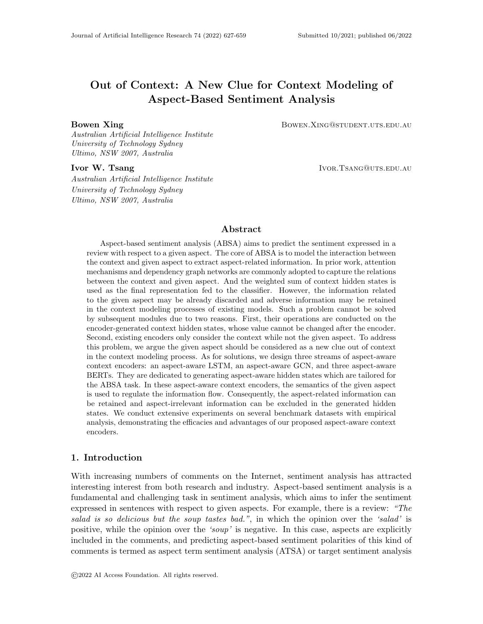given aspect can dynamically help regulate the information flow in LSTM cells along time steps. As a result, AALSTM can retain the sentiment indicative information of the given aspect in generated hidden states and eliminate the useless information regarding the given aspect. We augment vanilla GCN with an aspect-aware convolution gate, which can regulate the information flow so as to aggregate the aspect-related information from neighbor nodes to current node and discard the uesless information. Based on BERT, we flexibly modify the settings of segment embedding and [SEP] token to avoid thoroughly isolating context and the concatenated aspect as two individual sentences. Compared with BERT, our AABERTs can effectively model the aspect-aware intra-dependencies in the context modeling process. Experimental evaluations verify that AALSTM, AAGCN and AABERTs significantly outperform their vanilla counterparts on ABSA task, demonstrating their capability of alleviating the aspect-agnostic problem. Additionally, experimental results show that our AAGCN works well with AALSTM and AABERTs, then our aspect-aware models achieve new state-of-the-art in both LSTM-models and BERT-based models.

To our knowledge, this is the first work that focuses on the shortcomings of context encoders and leverages the aspect as a new clue out of context for context modeling in ABSA task. In this work, we address ABSA task from a new perspective, and this first investigation paves the way to several aspect-aware extensions of the context encoder based on other architectures, such as Convolutional Neural Network, Memory Network, etc. Our work also provide insights to other NLP tasks, such as relation classification, which aims to predict the relation between two given entity include in a sentence. In the scenario of relation classification, generally the sentence encoder is not aware of the entity-pair. Therefore, the 'entity-pair agnostic' problem, which is a variant of the aspect-agnostic problem we point out in this paper, exists in the task of relation classification. In the future, we are glad to see more advances in solving the aspect-agnostic problem in ABSA task and and we are keen to explore our aspect aware mechanisms in tackling similar problems in other NLP tasks.

### Acknowledgements

This work was supported by Australian Research Council Grant (DP180100106 and DP200101328).

#### References

- Bahdanau, D., Cho, K., & Bengio, Y. (2015). Neural machine translation by jointly learning to align and translate.. In Bengio, Y., & LeCun, Y. (Eds.), ICLR.
- Chen, P., Sun, Z., Bing, L., & Yang, W. (2017). Recurrent attention network on memory for aspect sentiment analysis. In Empirical Methods in Natural Language Processing, pp. 452–461.
- Chen, Y.-C., Gan, Z., Cheng, Y., Liu, J., & Liu, J. (2020). Distilling knowledge learned in BERT for text generation. In Proceedings of the 58th Annual Meeting of the Association for Computational Linguistics, pp. 7893–7905, Online. Association for Computational Linguistics.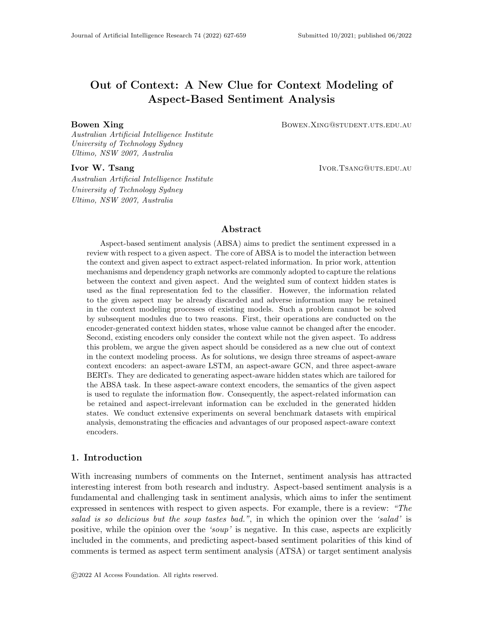- Chen, Z., & Qian, T. (2019). Transfer capsule network for aspect level sentiment classification. In Proceedings of the 57th Annual Meeting of the Association for Computational Linguistics, pp. 547–556.
- Devamanyu, H., Soujanya, P., Prateek, V., Gangeshwar, K., Erik, C., & Roger, Z. (2018). Modeling inter-aspect dependencies for aspect-based sentiment analysis. In Conference of the North American Chapter of the Association for Computational Linguistics, pp. 266–270.
- Devlin, J., Chang, M.-W., Lee, K., & Toutanova, K. (2019). BERT: Pre-training of deep bidirectional transformers for language understanding. In Proceedings of the 2019 Conference of the North American Chapter of the Association for Computational Linguistics: Human Language Technologies, Volume 1 (Long and Short Papers), pp. 4171–4186, Minneapolis, Minnesota. Association for Computational Linguistics.
- Gao, Z., Feng, A., Song, X., & Wu, X. (2019). Target-dependent sentiment classification with bert.. *IEEE Access*, 7, 154290-154299.
- He, R., Lee, W. S., Ng, H. T., & Dahlmeier, D. (2018). Exploiting document knowledge for aspect-level sentiment classification. In Annual Meeting of the Association for Computational Linguistics, pp. 579–585.
- Hochreiter, S., & Schmidhuber, J. (1997). Long short-term memory. Neural computation,  $9(8)$ , 1735–1780.
- Huang, B., & Carley, K. (2018). Parameterized convolutional neural networks for aspect level sentiment classification. In Proceedings of the 2018 Conference on Empirical Methods in Natural Language Processing, pp. 1091–1096, Brussels, Belgium.
- Huang, B., & Carley, K. M. (2019). Syntax-aware aspect level sentiment classification with graph attention networks. In Proceedings of the 2019 Conference on Empirical Methods in Natural Language Processing and the 9th International Joint Conference on Natural Language Processing, p. 5469–5477.
- Joshi, M., Chen, D., Liu, Y., Weld, D. S., Zettlemoyer, L., & Levy, O. (2020). SpanBERT: Improving pre-training by representing and predicting spans. Transactions of the Association for Computational Linguistics, 8, 64–77.
- Karimi, A., Rossi, L., & Prati, A. (2021). Adversarial training for aspect-based sentiment analysis with bert. In 2020 25th International Conference on Pattern Recognition  $(ICPR)$ , pp. 8797–8803.
- Kim, Y. (2014). Convolutional neural networks for sentence classification. In *Proceedings of* the 2014 Conference on Empirical Methods in Natural Language Processing (EMNLP), pp. 1746–1751.
- Kingma, D. P., & Ba, J. (2015). Adam: A method for stochastic optimization. In ICLR (Poster).
- Kiritchenko, S., Zhu, X., Cherrt, C., & and, S. M. (2014). Nrc-canada-2014: Detecting aspects and sentiment in customer reviews. In International Workshop on Semantic Evaluation, pp. 437–442.
- LeCun, Y., Bengio, Y., & Hinton, G. (2015). Deep learning. Nature, 521 (7553), 436–444.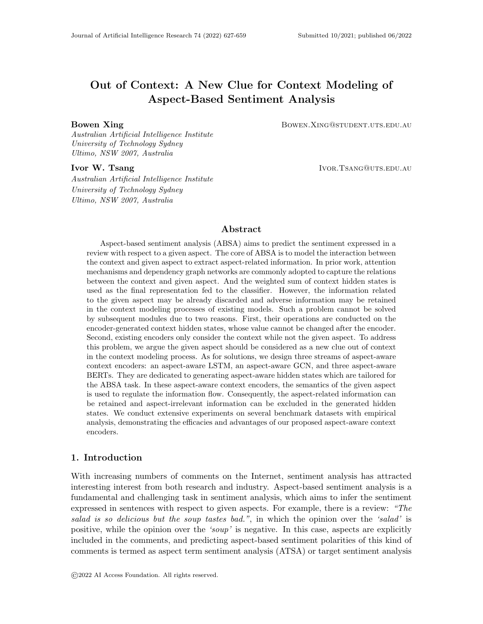- Li, L., Ma, R., Guo, Q., Xue, X., & Qiu, X. (2020). BERT-ATTACK: Adversarial attack against BERT using BERT. In Proceedings of the 2020 Conference on Empirical Methods in Natural Language Processing (EMNLP), pp. 6193–6202, Online. Association for Computational Linguistics.
- Liu, J., & Zhang, Y. (2017). Attention modeling for targeted sentiment. In Proceedings of the 15th Conference of the European Chapter of the Association for Computational Linguistics, p. 572–577.
- Liu, Y., Ott, M., Goyal, N., Du, J., Joshi, M., Chen, D., Levy, O., Lewis, M., Zettlemoyer, L., & Stoyanov, V. (2019). Roberta: A robustly optimized bert pretraining approach.. cite arxiv:1907.11692.
- Ma, D., Li, S., Zhang, X., & Wang, H. (2017). Interactive attention networks for aspect-level sentiment classification. In International Joint Conference on Artificial Intelligence, pp. 4068–4074.
- Pennington, J., Socher, R., & Manning, C. D. (2014). Glove: Global vectors for word representation. In Empirical Methods in Natural Language Processing (EMNLP), pp. 1532–1543.
- Pontiki, M., Galanis, D., Pavlopoulos, J., Papageorgiou, H., Androutsopoulos, I., & Manandhar, S. (2014). Semeval-2014 task 4: Aspect based sentiment analysis. In *International* Workshop on Semantic Evaluation, pp. 27–35.
- Reimers, N., & Gurevych, I. (2019). Sentence-BERT: Sentence embeddings using Siamese BERT-networks. In Proceedings of the 2019 Conference on Empirical Methods in Natural Language Processing and the 9th International Joint Conference on Natural Language Processing (EMNLP-IJCNLP), pp. 3982–3992, Hong Kong, China. Association for Computational Linguistics.
- Sabour, S., Frosst, N., & Hinton, G. E. (2017). Dynamic routing between capsules. In Advances in Neural Information Processing Systems 30, pp. 3856–3866.
- Scarselli, F., Gori, M., Tsoi, A. C., Hagenbuchner, M., & Monfardini, G. (2009). The Graph Neural Network Model. IEEE Transactions on Neural Networks (TNN), 20 (1), 61–80.
- Song, Y., Wang, J., Jiang, T., Liu, Z., & Rao, Y. (2019). Attentional encoder network for targeted sentiment classification.. CoRR, abs/1902.09314.
- Sukhbaatar, S., szlam, a., Weston, J., & Fergus, R. (2015). End-to-end memory networks. In Advances in Neural Information Processing Systems 28, pp. 2440–2448.
- Sun, C., Huang, L., & Qiu, X. (2019). Utilizing BERT for aspect-based sentiment analysis via constructing auxiliary sentence. In Proceedings of the 2019 Conference of the North American Chapter of the Association for Computational Linguistics: Human Language Technologies, Volume 1 (Long and Short Papers), pp. 380–385, Minneapolis, Minnesota. Association for Computational Linguistics.
- Tang, D., Qin, B., Feng, X., & Liu, T. (2016a). Effective lstms for target-dependent sentiment classification. In International Conference on Computational Linguistics, pp. 3298–3307.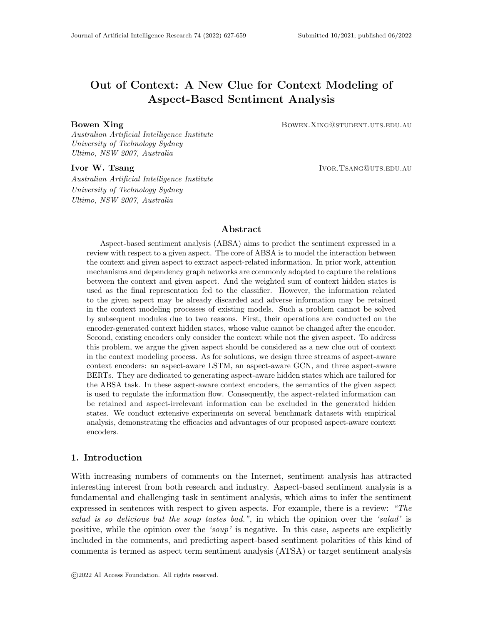- Tang, D., Qin, B., & Liu, T. (2016b). Aspect level sentiment classification with deep memory network. In Empirical Methods in Natural Language Processing, pp. 214–224.
- Tang, H., Ji, D., Li, C., & Zhou, Q. (2020). Dependency graph enhanced dual-transformer structure for aspect-based sentiment classification. In Proceedings of the 58th Annual Meeting of the Association for Computational Linguistics, pp. 6578–6588, Online. Association for Computational Linguistics.
- Tay, Y., Anh, T. L., & Cheung, H. S. (2017). Dyadic memory networks for aspect-based sentiment analysis. In ACM on Conference on Information and Knowledge Management, CIKM, pp. 107–116.
- Tay, Y., Tuan, L. A., & Hui, S. C. (2018). Learning to attend via word-aspect associative fusion for aspect-based sentiment analysis. In AAAI Conference on Artificial Intelligence, pp. 5956–5963.
- Thomas N. Kipf, M. W. (2017). Semi-supervised classification with graph convolutional networks. In International Conference on Learning Representations.
- Tian, Y., Chen, G., & Song, Y. (2021a). Aspect-based sentiment analysis with type-aware graph convolutional networks and layer ensemble. In Proceedings of the 2021 Conference of the North American Chapter of the Association for Computational Linguistics: Human Language Technologies (NAACL), pp. 2910–2922.
- Tian, Y., Chen, G., & Song, Y. (2021b). Enhancing aspect-level sentiment analysis with word dependencies. In Proceedings of the 16th Conference of the European Chapter of the Association for Computational Linguistics: Main Volume, pp. 3726–3739, Online. Association for Computational Linguistics.
- Vaswani, A., Shazeer, N., Parmar, N., Uszkoreit, J., Jones, L., Gomez, A. N., Kaiser, L. u., & Polosukhin, I. (2017). Attention is all you need. In Advances in Neural Information Processing Systems 30, pp. 5998–6008.
- Veličković, P., Cucurull, G., Casanova, A., Romero, A., Liò, P., & Bengio, Y. (2018). Graph attention networks. In International Conference on Learning Representations.
- Wagner, J., Arora, P., Cortes, S., Barman, U., Bogdanova, D., Foster, J., & Tounsi, L. (2014). Dcu: Aspect-based polarity classification for semeval task 4. In International Workshop on Semantic Evaluation, pp. 223–229.
- Wang, B., Shang, L., Lioma, C., Jiang, X., Yang, H., Liu, Q., & Simonsen, J. G. (2021). On position embeddings in bert. In International Conference on Learning Representations.
- Wang, K., Shen, W., Yang, Y., Quan, X., & Wang, R. (2020). Relational graph attention network for aspect-based sentiment analysis. In *Proceedings of the 58th Annual* Meeting of the Association for Computational Linguistics, pp. 3229–3238, Online. Association for Computational Linguistics.
- Wang, S., Mazumder, S., Liu, B., Zhou, M., & Chang, Y. (2018). Target-sensitive memory networks for aspect sentiment classification. In Annual Meeting of the Association for Computational Linguistics,, pp. 957–967.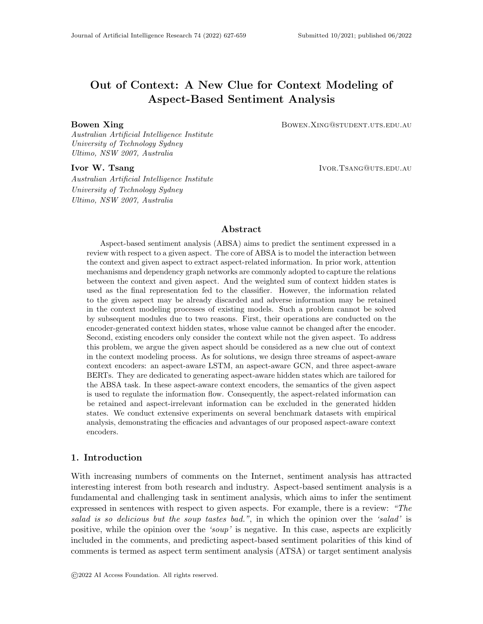- Wang, Y., Huang, M., & Zhao, L. (2016). Attention-based lstm for aspect-level sentiment classification. In Empirical Methods in Natural Language Processing, pp. 606–615.
- Wang, Y., Sun, A., Han, J., Liu, Y., & Zhu, X. (2018). Sentiment analysis by capsules. In Proceedings of the 2018 World Wide Web Conference, p. 1165–1174.
- Wang, Y., Sun, A., Huang, M., & Zhu, X. (2019). Aspect-level sentiment analysis using as-capsules. In The World Wide Web Conference, p. 2033–2044.
- Xin, L., Lidong, B., Wai, L., & Bei, S. (2018). Transformation networks for target-oriented sentiment classification. In Proceedings of the 56th Annual Meeting of the Association for Computational Linguistics (Volume 1: Long Papers), pp. 946–956.
- Xing, B., Liao, L., Song, D., Wang, J., Zhang, F., Wang, Z., & Huang, H. (2019). Earlier attention? aspect-aware lstm for aspect-based sentiment analysis. In Proceedings of 28th International Joint Conference on Artificial Intelligence (IJCAI), pp. 5313–5319.
- Xing, B., & Tsang, I. W. (2021). Understand me, if you refer to aspect knowledge: Knowledge-aware gated recurrent memory network. CoRR, abs/2108.02352.
- Xing, B., & Tsang, I. W. (2022). Dignet: Digging clues from local-global interactive graph for aspect-level sentiment classification. CoRR, abs/2201.00989.
- Xu, H., Liu, B., Shu, L., & Yu, P. S. (2019). Bert post-training for review reading comprehension and aspect-based sentiment analysis.. In Burstein, J., Doran, C., & Solorio, T. (Eds.), NAACL-HLT (1), pp. 2324–2335. Association for Computational Linguistics.
- Xue, W., & Li, T. (2018). Aspect based sentiment analysis with gated convolutional networks. In Annual Meeting of the Association for Computational Linguistics, pp. 2514– 2523.
- Yang, H., Zeng, B., Yang, J., Song, Y., & Xu, R. (2021). A multi-task learning model for chinese-oriented aspect polarity classification and aspect term extraction.. Neurocomputing, 419, 344–356.
- Yang, M., Tu, W., Wang, J., Xu, F., & Chen, X. (2017). Attention based lstm for target dependent sentiment classification. In AAAI Conference on Artificial Intelligence, p. 5013–5014.
- Zhang, B., Li, X., Xu, X., Leung, K.-C., Chen, Z., & Ye, Y. (2020). Knowledge guided capsule attention network for aspect-based sentiment analysis.. IEEE ACM Trans. Audio Speech Lang. Process., 28, 2538–2551.
- Zhang, C., Li, Q., & Song, D. (2019). Aspect-based sentiment classification with aspectspecific graph convolutional networks. In Proceedings of the 2019 Conference on Empirical Methods in Natural Language Processing and the 9th International Joint Conference on Natural Language Processing, p. 4568–4578.
- Zhang, M., & Qian, T. (2020). Convolution over hierarchical syntactic and lexical graphs for aspect level sentiment analysis. In Proceedings of the 2020 Conference on Empirical Methods in Natural Language Processing (EMNLP), pp. 3540–3549, Online. Association for Computational Linguistics.
- Zhang, Z., Han, X., Liu, Z., Jiang, X., Sun, M., & Liu, Q. (2019). ERNIE: Enhanced language representation with informative entities. In Proceedings of the 57th Annual